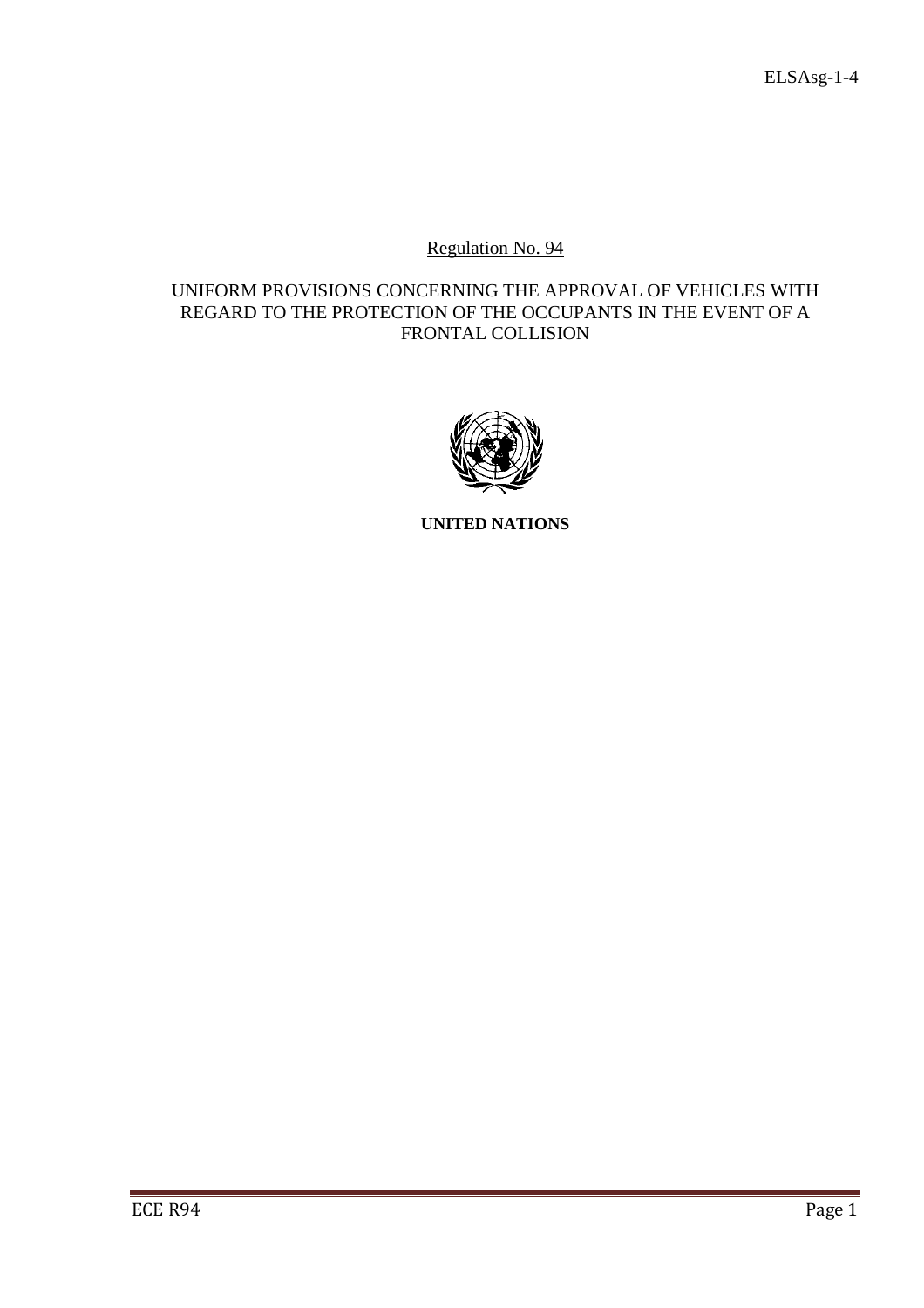# Regulation No. 94

# UNIFORM PROVISIONS CONCERNING THE APPROVAL OF VEHICLES WITH REGARD TO THE PROTECTION OF THE OCCUPANTS IN THE EVENT OF A FRONTAL COLLISION



**UNITED NATIONS**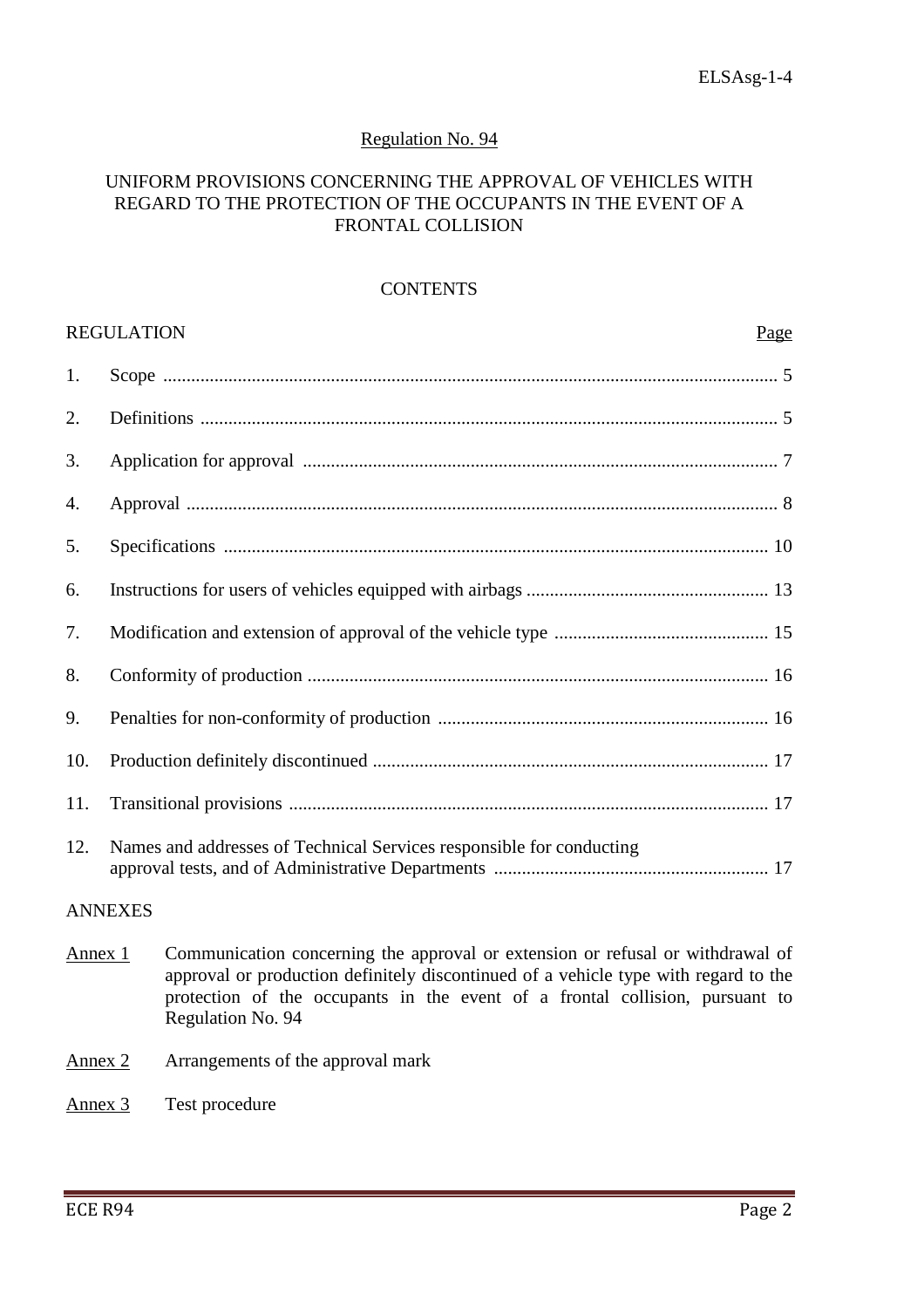## Regulation No. 94

### UNIFORM PROVISIONS CONCERNING THE APPROVAL OF VEHICLES WITH REGARD TO THE PROTECTION OF THE OCCUPANTS IN THE EVENT OF A FRONTAL COLLISION

#### **CONTENTS**

|                | <b>REGULATION</b><br>Page                                            |  |  |
|----------------|----------------------------------------------------------------------|--|--|
| 1.             |                                                                      |  |  |
| 2.             |                                                                      |  |  |
| 3.             |                                                                      |  |  |
| 4.             |                                                                      |  |  |
| 5.             |                                                                      |  |  |
| 6.             |                                                                      |  |  |
| 7.             |                                                                      |  |  |
| 8.             |                                                                      |  |  |
| 9.             |                                                                      |  |  |
| 10.            |                                                                      |  |  |
| 11.            |                                                                      |  |  |
| 12.            | Names and addresses of Technical Services responsible for conducting |  |  |
| <b>ANNEXES</b> |                                                                      |  |  |

- Annex 1 Communication concerning the approval or extension or refusal or withdrawal of approval or production definitely discontinued of a vehicle type with regard to the protection of the occupants in the event of a frontal collision, pursuant to Regulation No. 94
- Annex 2 Arrangements of the approval mark
- Annex 3 Test procedure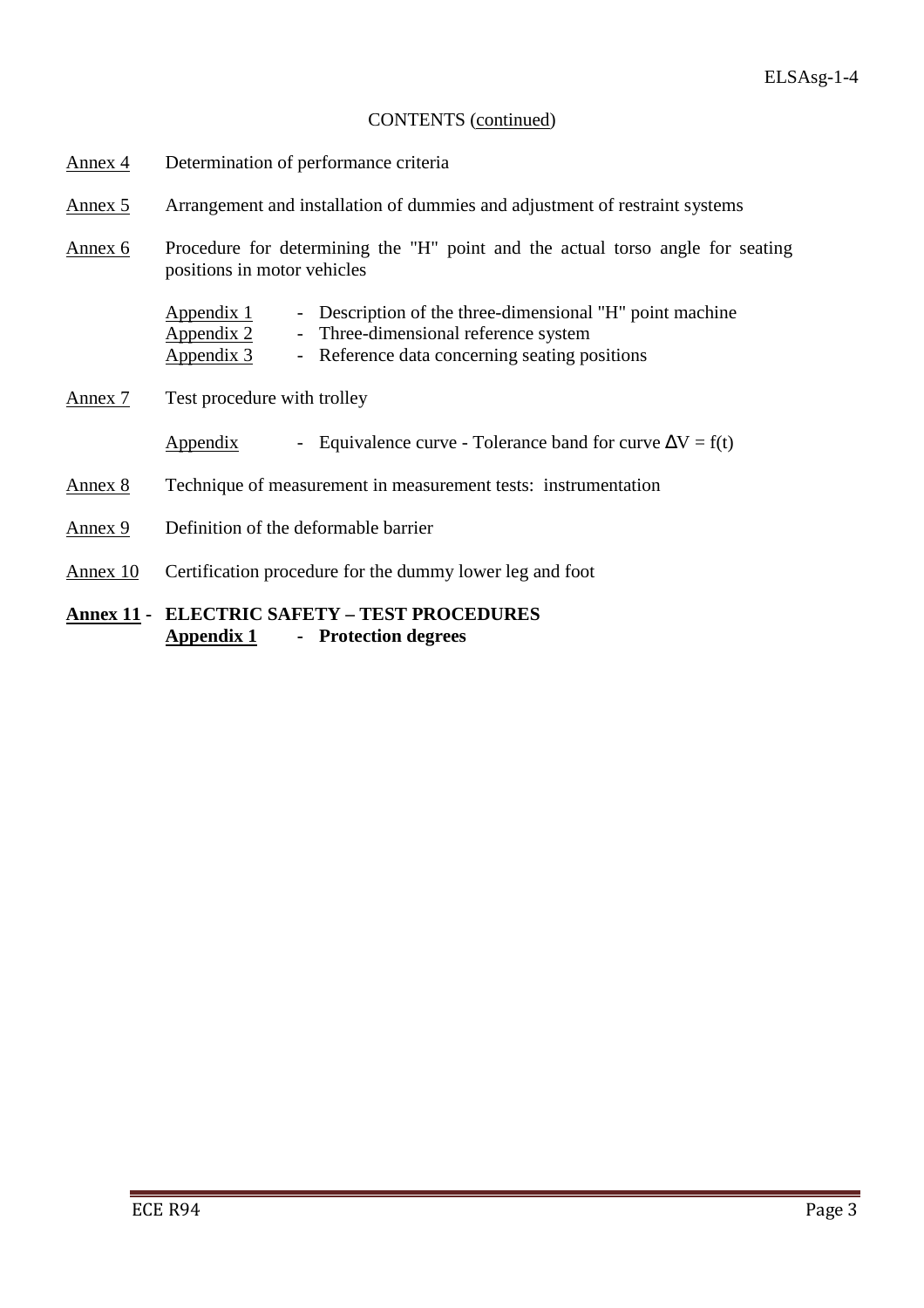# CONTENTS (continued)

- Annex 4 Determination of performance criteria
- Annex 5 Arrangement and installation of dummies and adjustment of restraint systems
- Annex 6 Procedure for determining the "H" point and the actual torso angle for seating positions in motor vehicles

| <u>Appendix 1</u> | - Description of the three-dimensional "H" point machine |
|-------------------|----------------------------------------------------------|
| <u>Appendix 2</u> | - Three-dimensional reference system                     |
| <u>Appendix 3</u> | - Reference data concerning seating positions            |

- Annex 7 Test procedure with trolley
	- Appendix Equivalence curve Tolerance band for curve  $\Delta V = f(t)$
- Annex 8 Technique of measurement in measurement tests: instrumentation
- Annex 9 Definition of the deformable barrier
- Annex 10 Certification procedure for the dummy lower leg and foot

# **Annex 11 - ELECTRIC SAFETY – TEST PROCEDURES Appendix 1 - Protection degrees**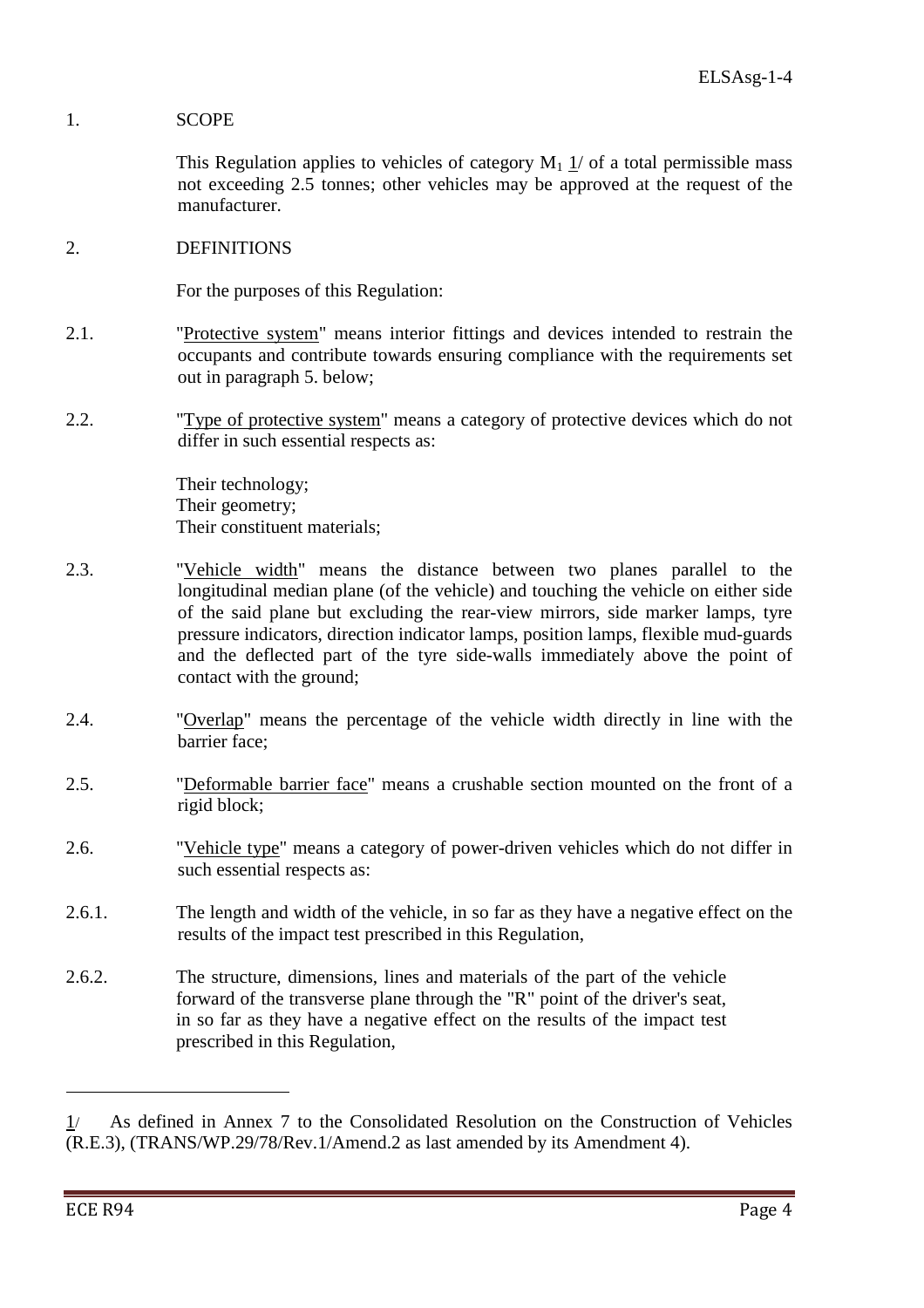## 1. SCOPE

This Regulation applies to vehicles of category  $M_1$  1/ of a total permissible mass not exceeding 2.5 tonnes; other vehicles may be approved at the request of the manufacturer.

2. DEFINITIONS

For the purposes of this Regulation:

- 2.1. "Protective system" means interior fittings and devices intended to restrain the occupants and contribute towards ensuring compliance with the requirements set out in paragraph 5. below;
- 2.2. "Type of protective system" means a category of protective devices which do not differ in such essential respects as:

 Their technology; Their geometry; Their constituent materials;

- 2.3. "Vehicle width" means the distance between two planes parallel to the longitudinal median plane (of the vehicle) and touching the vehicle on either side of the said plane but excluding the rear-view mirrors, side marker lamps, tyre pressure indicators, direction indicator lamps, position lamps, flexible mud-guards and the deflected part of the tyre side-walls immediately above the point of contact with the ground;
- 2.4. "Overlap" means the percentage of the vehicle width directly in line with the barrier face;
- 2.5. "Deformable barrier face" means a crushable section mounted on the front of a rigid block;
- 2.6. "Vehicle type" means a category of power-driven vehicles which do not differ in such essential respects as:
- 2.6.1. The length and width of the vehicle, in so far as they have a negative effect on the results of the impact test prescribed in this Regulation,
- 2.6.2. The structure, dimensions, lines and materials of the part of the vehicle forward of the transverse plane through the "R" point of the driver's seat, in so far as they have a negative effect on the results of the impact test prescribed in this Regulation,

 $\overline{a}$ 

<sup>1</sup>/ As defined in Annex 7 to the Consolidated Resolution on the Construction of Vehicles (R.E.3), (TRANS/WP.29/78/Rev.1/Amend.2 as last amended by its Amendment 4).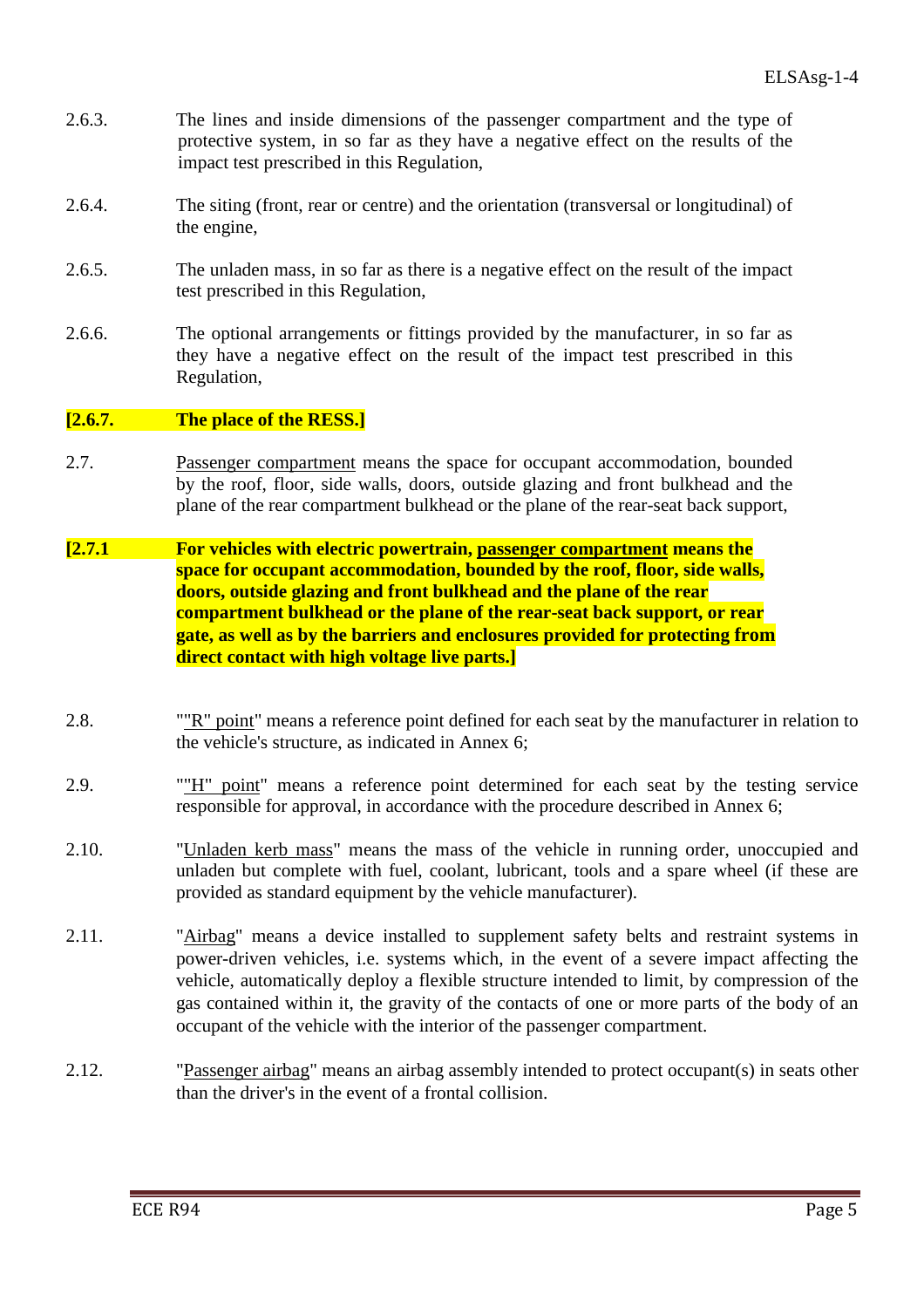- 2.6.3. The lines and inside dimensions of the passenger compartment and the type of protective system, in so far as they have a negative effect on the results of the impact test prescribed in this Regulation,
- 2.6.4. The siting (front, rear or centre) and the orientation (transversal or longitudinal) of the engine,
- 2.6.5. The unladen mass, in so far as there is a negative effect on the result of the impact test prescribed in this Regulation,
- 2.6.6. The optional arrangements or fittings provided by the manufacturer, in so far as they have a negative effect on the result of the impact test prescribed in this Regulation,

#### **[2.6.7. The place of the RESS.]**

- 2.7. Passenger compartment means the space for occupant accommodation, bounded by the roof, floor, side walls, doors, outside glazing and front bulkhead and the plane of the rear compartment bulkhead or the plane of the rear-seat back support,
- **[2.7.1 For vehicles with electric powertrain, passenger compartment means the space for occupant accommodation, bounded by the roof, floor, side walls, doors, outside glazing and front bulkhead and the plane of the rear compartment bulkhead or the plane of the rear-seat back support, or rear gate, as well as by the barriers and enclosures provided for protecting from direct contact with high voltage live parts.]**
- 2.8. ""R" point" means a reference point defined for each seat by the manufacturer in relation to the vehicle's structure, as indicated in Annex 6;
- 2.9. ""H" point" means a reference point determined for each seat by the testing service responsible for approval, in accordance with the procedure described in Annex 6;
- 2.10. "Unladen kerb mass" means the mass of the vehicle in running order, unoccupied and unladen but complete with fuel, coolant, lubricant, tools and a spare wheel (if these are provided as standard equipment by the vehicle manufacturer).
- 2.11. "Airbag" means a device installed to supplement safety belts and restraint systems in power-driven vehicles, i.e. systems which, in the event of a severe impact affecting the vehicle, automatically deploy a flexible structure intended to limit, by compression of the gas contained within it, the gravity of the contacts of one or more parts of the body of an occupant of the vehicle with the interior of the passenger compartment.
- 2.12. "Passenger airbag" means an airbag assembly intended to protect occupant(s) in seats other than the driver's in the event of a frontal collision.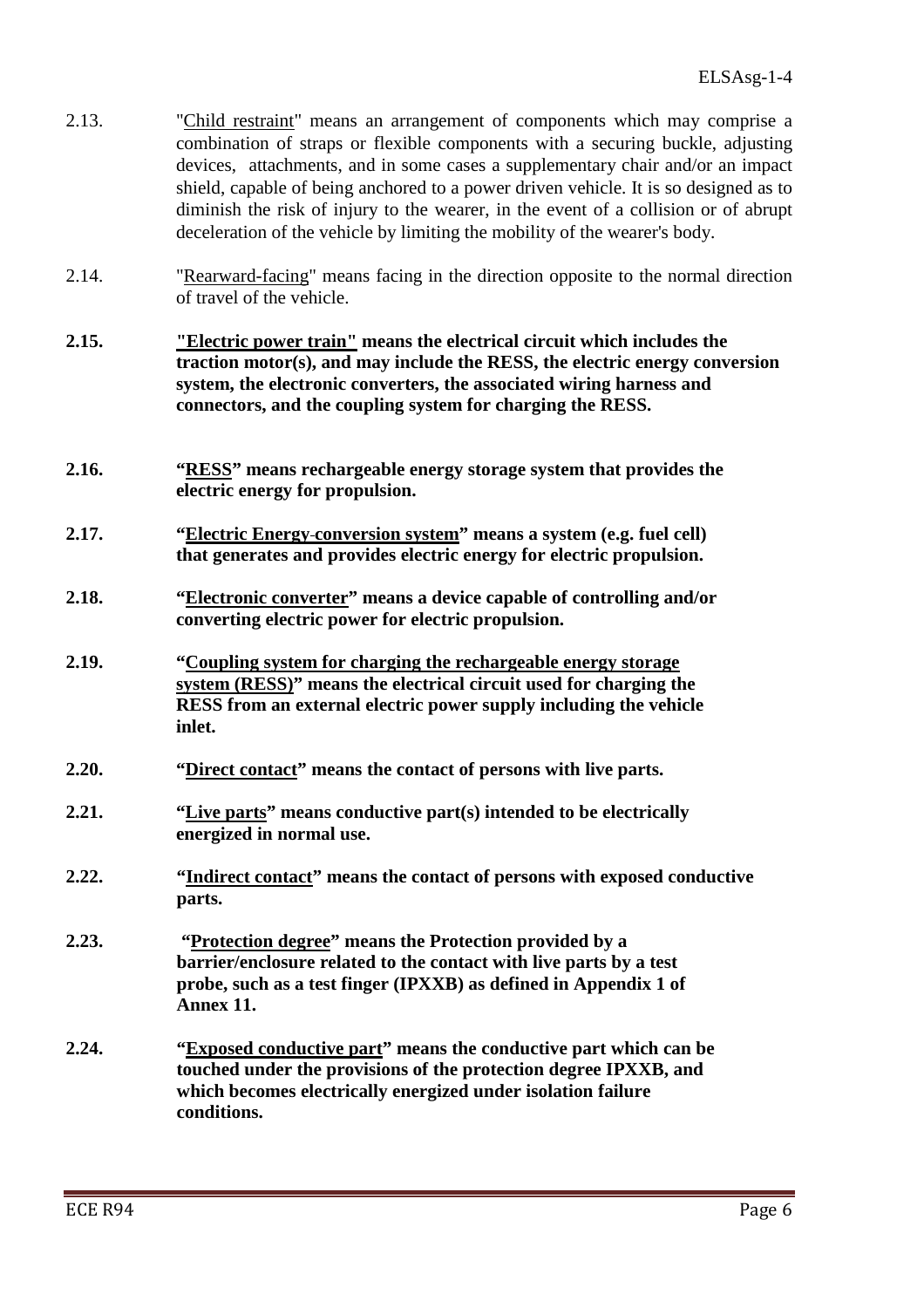| 2.13. | "Child restraint" means an arrangement of components which may comprise a<br>combination of straps or flexible components with a securing buckle, adjusting<br>devices, attachments, and in some cases a supplementary chair and/or an impact<br>shield, capable of being anchored to a power driven vehicle. It is so designed as to<br>diminish the risk of injury to the wearer, in the event of a collision or of abrupt<br>deceleration of the vehicle by limiting the mobility of the wearer's body. |
|-------|------------------------------------------------------------------------------------------------------------------------------------------------------------------------------------------------------------------------------------------------------------------------------------------------------------------------------------------------------------------------------------------------------------------------------------------------------------------------------------------------------------|
| 2.14. | "Rearward-facing" means facing in the direction opposite to the normal direction<br>of travel of the vehicle.                                                                                                                                                                                                                                                                                                                                                                                              |
| 2.15. | "Electric power train" means the electrical circuit which includes the<br>traction motor(s), and may include the RESS, the electric energy conversion<br>system, the electronic converters, the associated wiring harness and<br>connectors, and the coupling system for charging the RESS.                                                                                                                                                                                                                |
| 2.16. | "RESS" means rechargeable energy storage system that provides the<br>electric energy for propulsion.                                                                                                                                                                                                                                                                                                                                                                                                       |
| 2.17. | "Electric Energy-conversion system" means a system (e.g. fuel cell)<br>that generates and provides electric energy for electric propulsion.                                                                                                                                                                                                                                                                                                                                                                |
| 2.18. | "Electronic converter" means a device capable of controlling and/or<br>converting electric power for electric propulsion.                                                                                                                                                                                                                                                                                                                                                                                  |
| 2.19. | "Coupling system for charging the rechargeable energy storage<br>system (RESS)" means the electrical circuit used for charging the<br>RESS from an external electric power supply including the vehicle<br>inlet.                                                                                                                                                                                                                                                                                          |
| 2.20. | "Direct contact" means the contact of persons with live parts.                                                                                                                                                                                                                                                                                                                                                                                                                                             |
| 2.21. | "Live parts" means conductive part(s) intended to be electrically<br>energized in normal use.                                                                                                                                                                                                                                                                                                                                                                                                              |
| 2.22. | "Indirect contact" means the contact of persons with exposed conductive<br>parts.                                                                                                                                                                                                                                                                                                                                                                                                                          |
| 2.23. | "Protection degree" means the Protection provided by a<br>barrier/enclosure related to the contact with live parts by a test<br>probe, such as a test finger (IPXXB) as defined in Appendix 1 of<br>Annex 11.                                                                                                                                                                                                                                                                                              |
| 2.24. | "Exposed conductive part" means the conductive part which can be<br>touched under the provisions of the protection degree IPXXB, and<br>which becomes electrically energized under isolation failure<br>conditions.                                                                                                                                                                                                                                                                                        |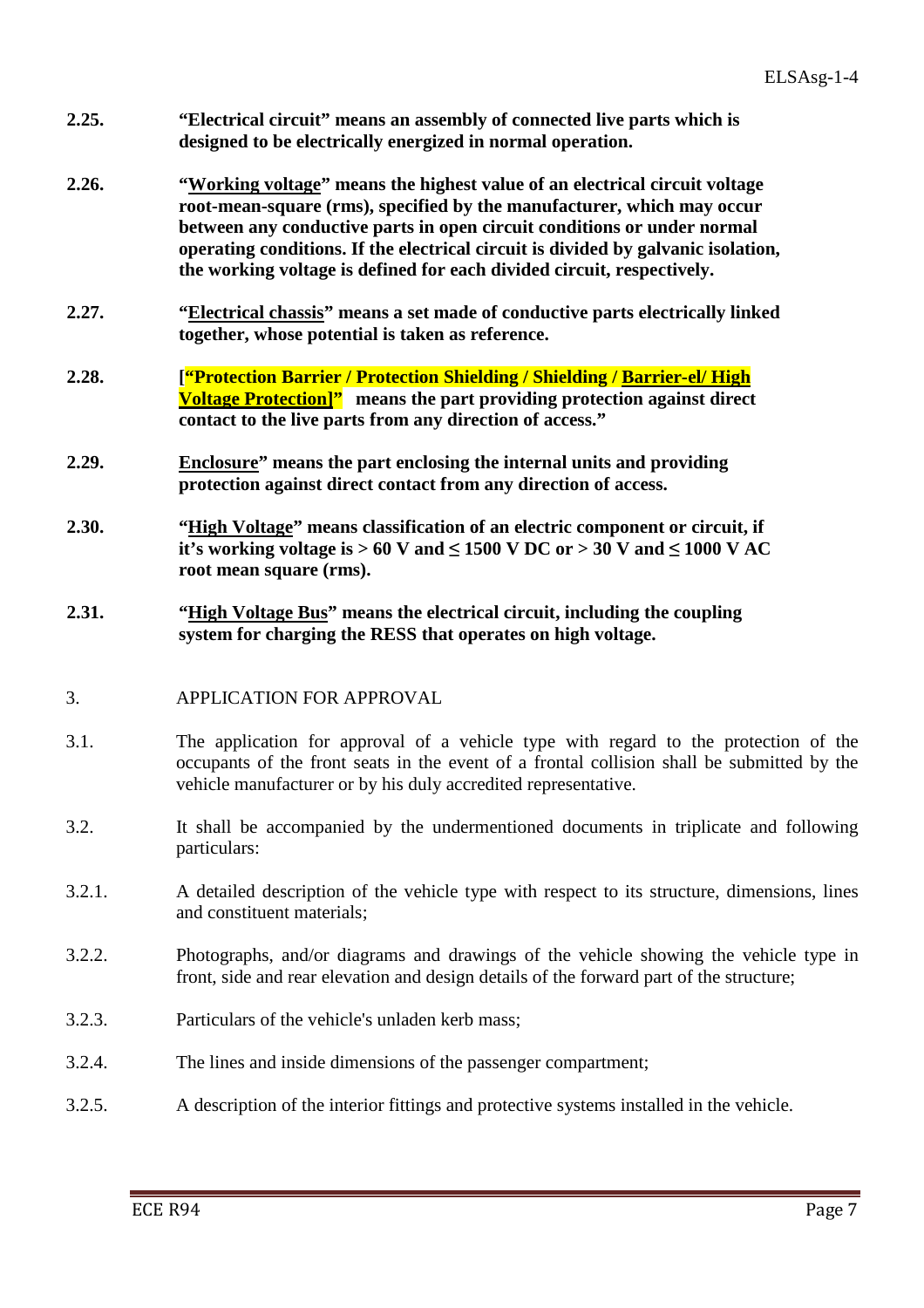- **2.25. "Electrical circuit" means an assembly of connected live parts which is designed to be electrically energized in normal operation.**
- **2.26. "Working voltage" means the highest value of an electrical circuit voltage root-mean-square (rms), specified by the manufacturer, which may occur between any conductive parts in open circuit conditions or under normal operating conditions. If the electrical circuit is divided by galvanic isolation, the working voltage is defined for each divided circuit, respectively.**
- **2.27. "Electrical chassis" means a set made of conductive parts electrically linked together, whose potential is taken as reference.**
- **2.28. ["Protection Barrier / Protection Shielding / Shielding / Barrier-el/ High Voltage Protection]" means the part providing protection against direct contact to the live parts from any direction of access."**
- **2.29. Enclosure" means the part enclosing the internal units and providing protection against direct contact from any direction of access.**
- **2.30. "High Voltage" means classification of an electric component or circuit, if it's working voltage is > 60 V and**  $\leq$  **1500 V DC or > 30 V and**  $\leq$  **1000 V AC root mean square (rms).**
- **2.31. "High Voltage Bus" means the electrical circuit, including the coupling system for charging the RESS that operates on high voltage.**

## 3. APPLICATION FOR APPROVAL

- 3.1. The application for approval of a vehicle type with regard to the protection of the occupants of the front seats in the event of a frontal collision shall be submitted by the vehicle manufacturer or by his duly accredited representative.
- 3.2. It shall be accompanied by the undermentioned documents in triplicate and following particulars:
- 3.2.1. A detailed description of the vehicle type with respect to its structure, dimensions, lines and constituent materials;
- 3.2.2. Photographs, and/or diagrams and drawings of the vehicle showing the vehicle type in front, side and rear elevation and design details of the forward part of the structure;
- 3.2.3. Particulars of the vehicle's unladen kerb mass;
- 3.2.4. The lines and inside dimensions of the passenger compartment;
- 3.2.5. A description of the interior fittings and protective systems installed in the vehicle.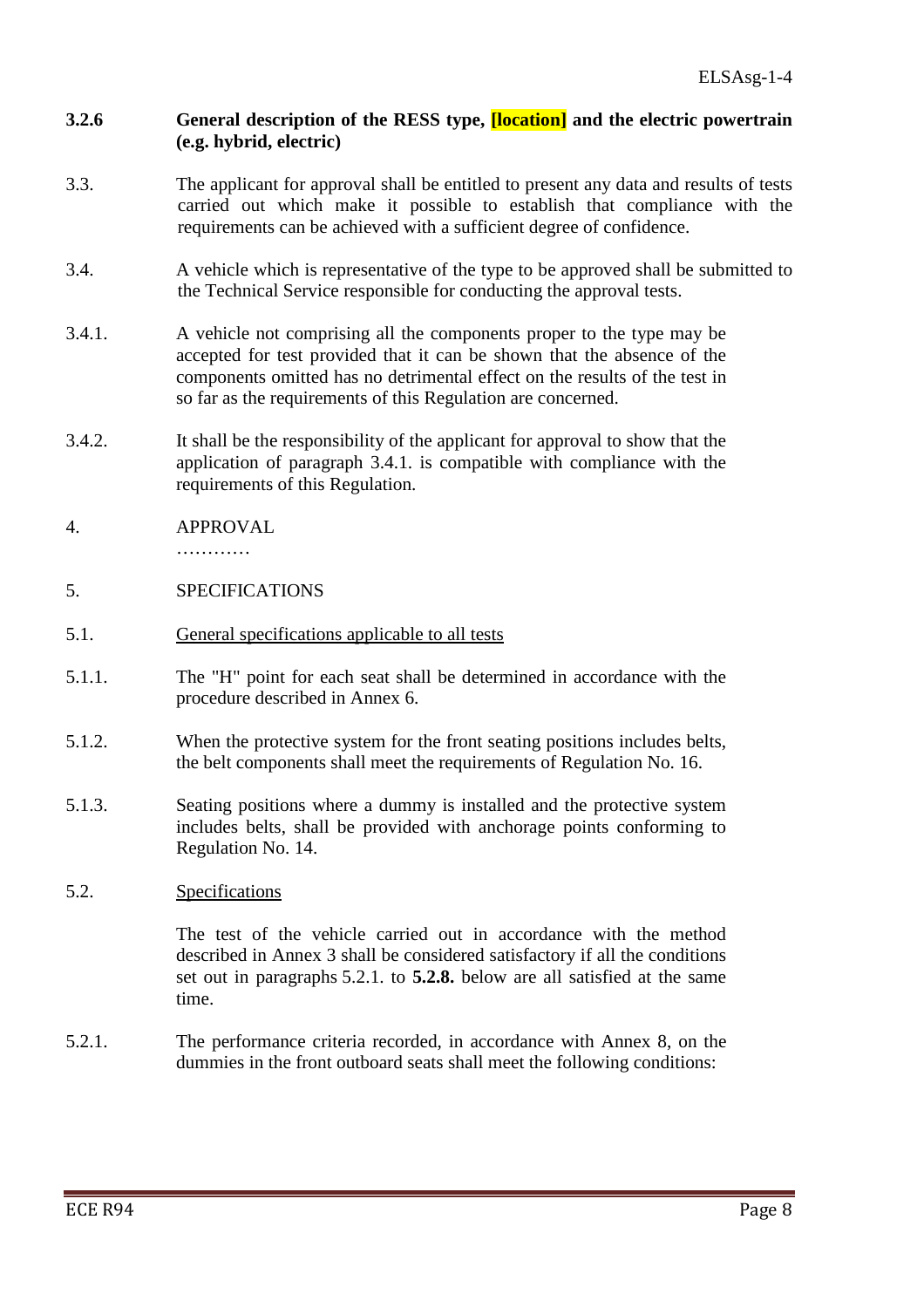# **3.2.6 General description of the RESS type, [location] and the electric powertrain (e.g. hybrid, electric)**

- 3.3. The applicant for approval shall be entitled to present any data and results of tests carried out which make it possible to establish that compliance with the requirements can be achieved with a sufficient degree of confidence.
- 3.4. A vehicle which is representative of the type to be approved shall be submitted to the Technical Service responsible for conducting the approval tests.
- 3.4.1. A vehicle not comprising all the components proper to the type may be accepted for test provided that it can be shown that the absence of the components omitted has no detrimental effect on the results of the test in so far as the requirements of this Regulation are concerned.
- 3.4.2. It shall be the responsibility of the applicant for approval to show that the application of paragraph 3.4.1. is compatible with compliance with the requirements of this Regulation.
- 4. APPROVAL

…………

- 5. SPECIFICATIONS
- 5.1. General specifications applicable to all tests
- 5.1.1. The "H" point for each seat shall be determined in accordance with the procedure described in Annex 6.
- 5.1.2. When the protective system for the front seating positions includes belts, the belt components shall meet the requirements of Regulation No. 16.
- 5.1.3. Seating positions where a dummy is installed and the protective system includes belts, shall be provided with anchorage points conforming to Regulation No. 14.
- 5.2. Specifications

 The test of the vehicle carried out in accordance with the method described in Annex 3 shall be considered satisfactory if all the conditions set out in paragraphs 5.2.1. to **5.2.8.** below are all satisfied at the same time.

5.2.1. The performance criteria recorded, in accordance with Annex 8, on the dummies in the front outboard seats shall meet the following conditions: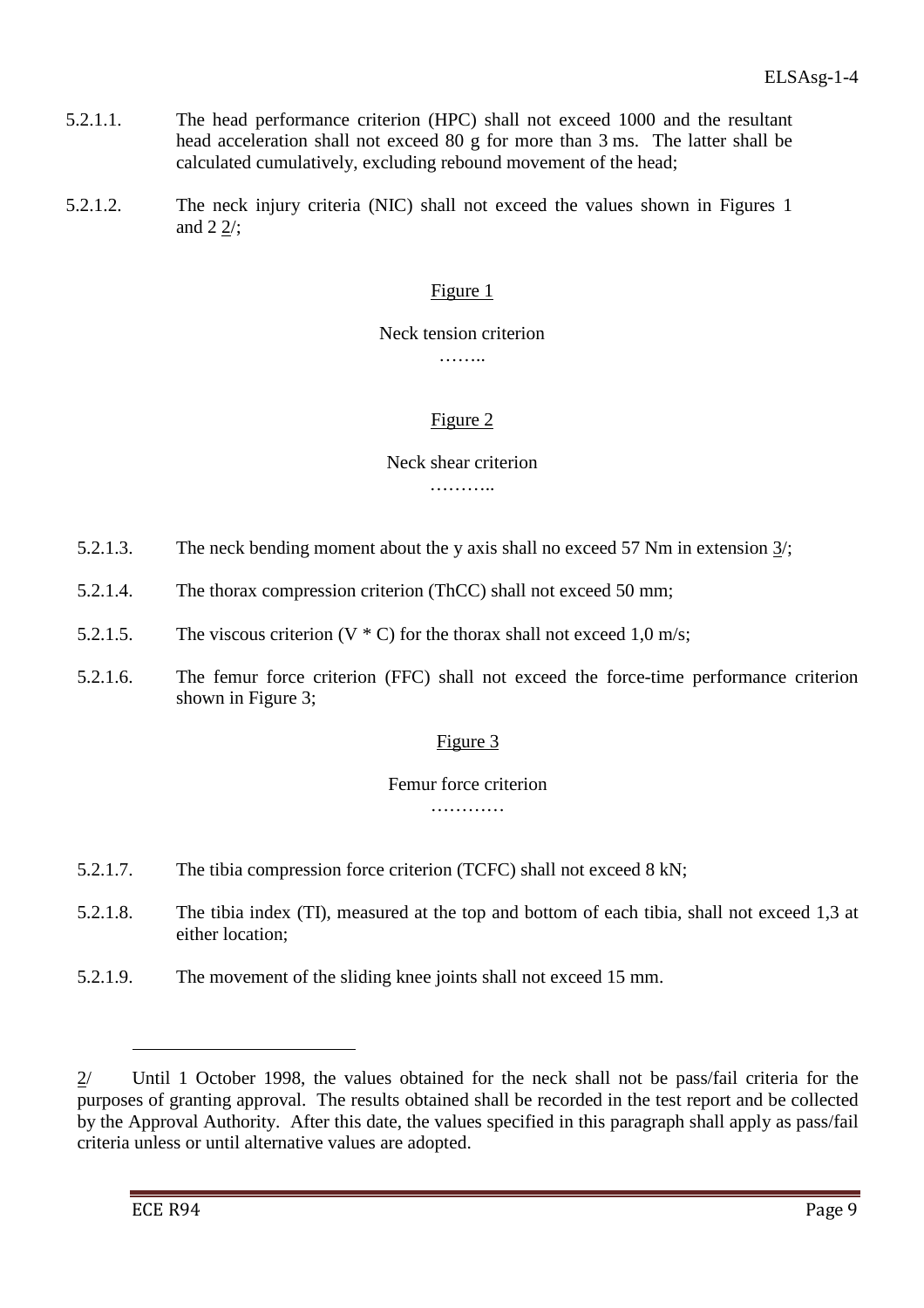- 5.2.1.1. The head performance criterion (HPC) shall not exceed 1000 and the resultant head acceleration shall not exceed 80 g for more than 3 ms. The latter shall be calculated cumulatively, excluding rebound movement of the head;
- 5.2.1.2. The neck injury criteria (NIC) shall not exceed the values shown in Figures 1 and 2 2/;

# Figure 1

## Neck tension criterion

………

# Figure 2

#### Neck shear criterion

………

- 5.2.1.3. The neck bending moment about the y axis shall no exceed 57 Nm in extension 3/;
- 5.2.1.4. The thorax compression criterion (ThCC) shall not exceed 50 mm;
- 5.2.1.5. The viscous criterion  $(V * C)$  for the thorax shall not exceed 1,0 m/s;
- 5.2.1.6. The femur force criterion (FFC) shall not exceed the force-time performance criterion shown in Figure 3;

## Figure 3

## Femur force criterion

…………

- 5.2.1.7. The tibia compression force criterion (TCFC) shall not exceed 8 kN;
- 5.2.1.8. The tibia index (TI), measured at the top and bottom of each tibia, shall not exceed 1,3 at either location;
- 5.2.1.9. The movement of the sliding knee joints shall not exceed 15 mm.

 $\overline{a}$ 

<sup>2/</sup> Until 1 October 1998, the values obtained for the neck shall not be pass/fail criteria for the purposes of granting approval. The results obtained shall be recorded in the test report and be collected by the Approval Authority. After this date, the values specified in this paragraph shall apply as pass/fail criteria unless or until alternative values are adopted.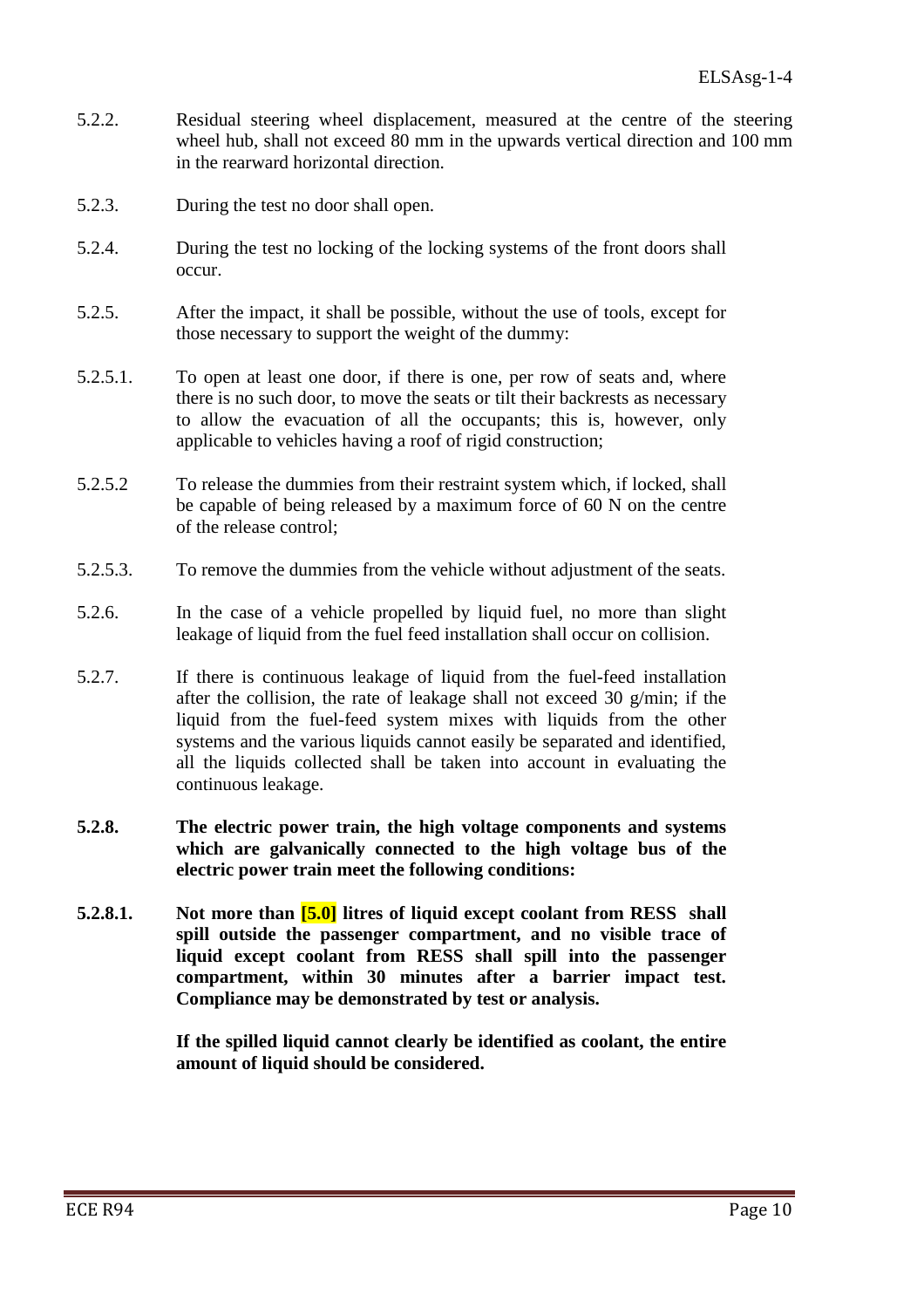- 5.2.2. Residual steering wheel displacement, measured at the centre of the steering wheel hub, shall not exceed 80 mm in the upwards vertical direction and 100 mm in the rearward horizontal direction.
- 5.2.3. During the test no door shall open.
- 5.2.4. During the test no locking of the locking systems of the front doors shall occur.
- 5.2.5. After the impact, it shall be possible, without the use of tools, except for those necessary to support the weight of the dummy:
- 5.2.5.1. To open at least one door, if there is one, per row of seats and, where there is no such door, to move the seats or tilt their backrests as necessary to allow the evacuation of all the occupants; this is, however, only applicable to vehicles having a roof of rigid construction;
- 5.2.5.2 To release the dummies from their restraint system which, if locked, shall be capable of being released by a maximum force of 60 N on the centre of the release control;
- 5.2.5.3. To remove the dummies from the vehicle without adjustment of the seats.
- 5.2.6. In the case of a vehicle propelled by liquid fuel, no more than slight leakage of liquid from the fuel feed installation shall occur on collision.
- 5.2.7. If there is continuous leakage of liquid from the fuel-feed installation after the collision, the rate of leakage shall not exceed 30 g/min; if the liquid from the fuel-feed system mixes with liquids from the other systems and the various liquids cannot easily be separated and identified, all the liquids collected shall be taken into account in evaluating the continuous leakage.
- **5.2.8. The electric power train, the high voltage components and systems which are galvanically connected to the high voltage bus of the electric power train meet the following conditions:**
- **5.2.8.1. Not more than [5.0] litres of liquid except coolant from RESS shall spill outside the passenger compartment, and no visible trace of liquid except coolant from RESS shall spill into the passenger compartment, within 30 minutes after a barrier impact test. Compliance may be demonstrated by test or analysis.**

 **If the spilled liquid cannot clearly be identified as coolant, the entire amount of liquid should be considered.**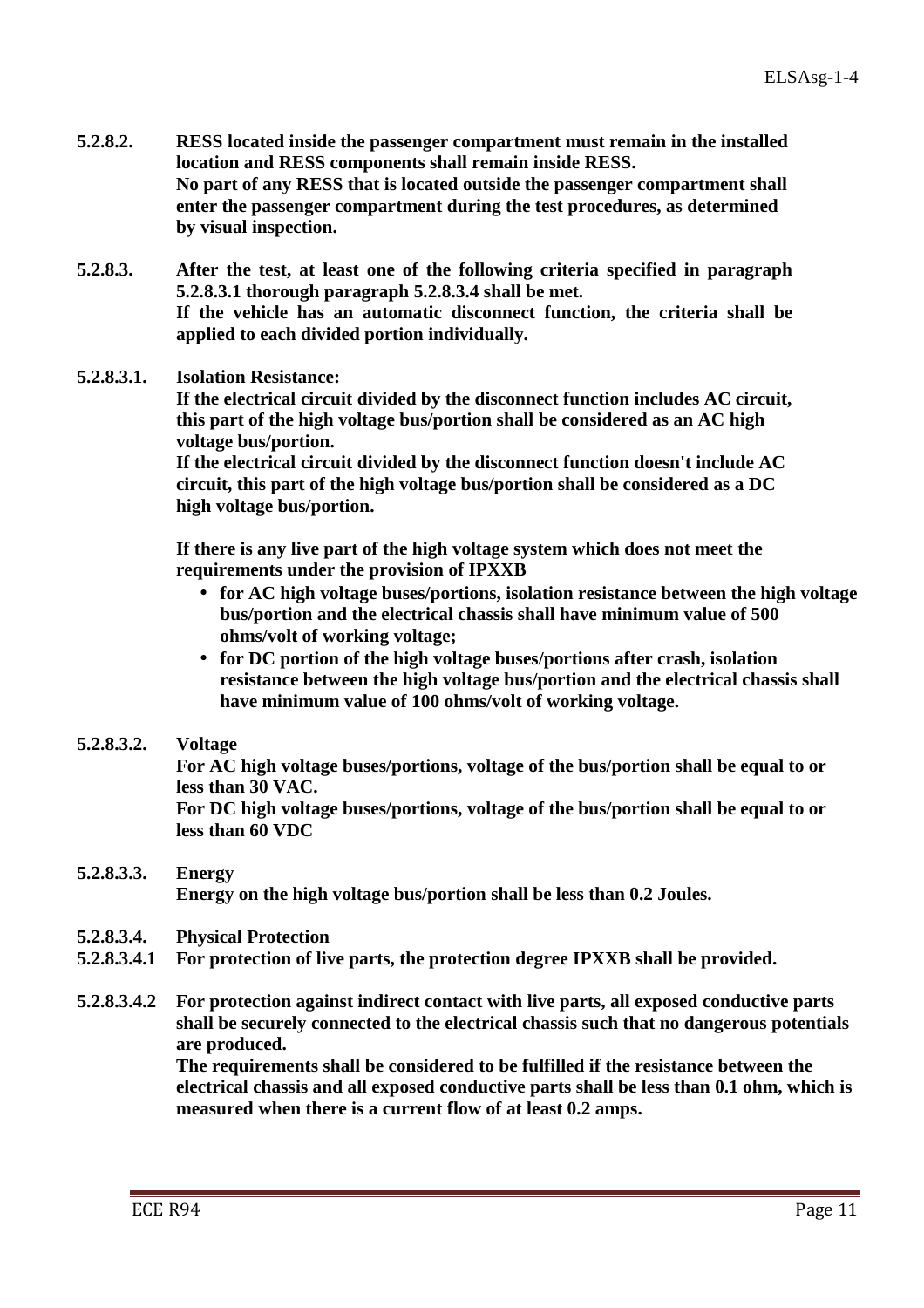- **5.2.8.2. RESS located inside the passenger compartment must remain in the installed location and RESS components shall remain inside RESS. No part of any RESS that is located outside the passenger compartment shall enter the passenger compartment during the test procedures, as determined by visual inspection.**
- **5.2.8.3. After the test, at least one of the following criteria specified in paragraph 5.2.8.3.1 thorough paragraph 5.2.8.3.4 shall be met. If the vehicle has an automatic disconnect function, the criteria shall be applied to each divided portion individually.**

#### **5.2.8.3.1. Isolation Resistance:**

 **If the electrical circuit divided by the disconnect function includes AC circuit, this part of the high voltage bus/portion shall be considered as an AC high voltage bus/portion.** 

 **If the electrical circuit divided by the disconnect function doesn't include AC circuit, this part of the high voltage bus/portion shall be considered as a DC high voltage bus/portion.** 

 **If there is any live part of the high voltage system which does not meet the requirements under the provision of IPXXB** 

- **for AC high voltage buses/portions, isolation resistance between the high voltage bus/portion and the electrical chassis shall have minimum value of 500 ohms/volt of working voltage;**
- **for DC portion of the high voltage buses/portions after crash, isolation resistance between the high voltage bus/portion and the electrical chassis shall have minimum value of 100 ohms/volt of working voltage.**
- **5.2.8.3.2. Voltage**

 **For AC high voltage buses/portions, voltage of the bus/portion shall be equal to or less than 30 VAC.** 

 **For DC high voltage buses/portions, voltage of the bus/portion shall be equal to or less than 60 VDC** 

#### **5.2.8.3.3. Energy Energy on the high voltage bus/portion shall be less than 0.2 Joules.**

- **5.2.8.3.4. Physical Protection**
- **5.2.8.3.4.1 For protection of live parts, the protection degree IPXXB shall be provided.**
- **5.2.8.3.4.2 For protection against indirect contact with live parts, all exposed conductive parts shall be securely connected to the electrical chassis such that no dangerous potentials are produced.**

 **The requirements shall be considered to be fulfilled if the resistance between the electrical chassis and all exposed conductive parts shall be less than 0.1 ohm, which is measured when there is a current flow of at least 0.2 amps.**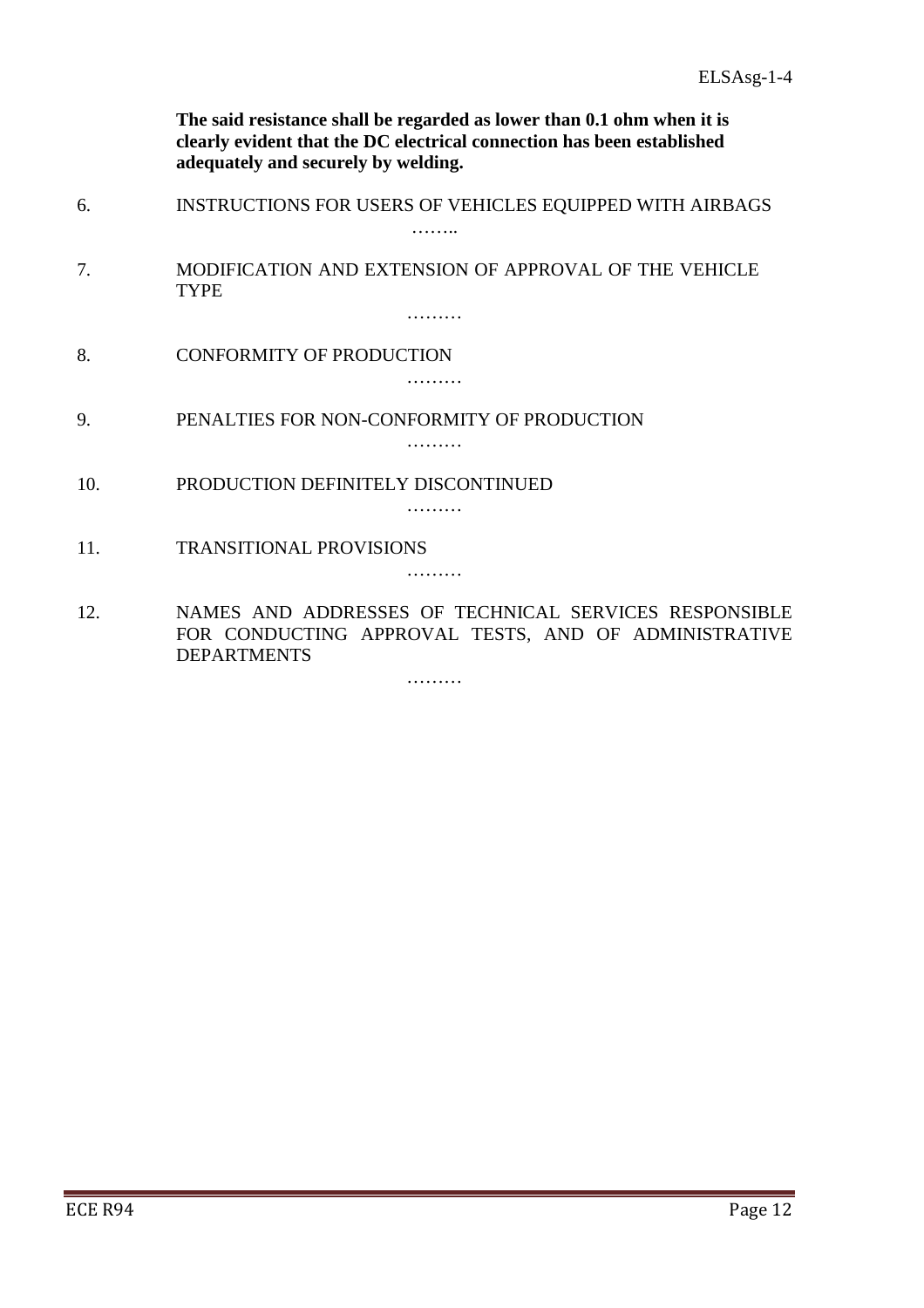**The said resistance shall be regarded as lower than 0.1 ohm when it is clearly evident that the DC electrical connection has been established adequately and securely by welding.** 

- 6. INSTRUCTIONS FOR USERS OF VEHICLES EQUIPPED WITH AIRBAGS ……
- 7. MODIFICATION AND EXTENSION OF APPROVAL OF THE VEHICLE TYPE

………

8. CONFORMITY OF PRODUCTION

………

9. PENALTIES FOR NON-CONFORMITY OF PRODUCTION

………

………

- 10. PRODUCTION DEFINITELY DISCONTINUED
- 11. TRANSITIONAL PROVISIONS

………

12. NAMES AND ADDRESSES OF TECHNICAL SERVICES RESPONSIBLE FOR CONDUCTING APPROVAL TESTS, AND OF ADMINISTRATIVE DEPARTMENTS

………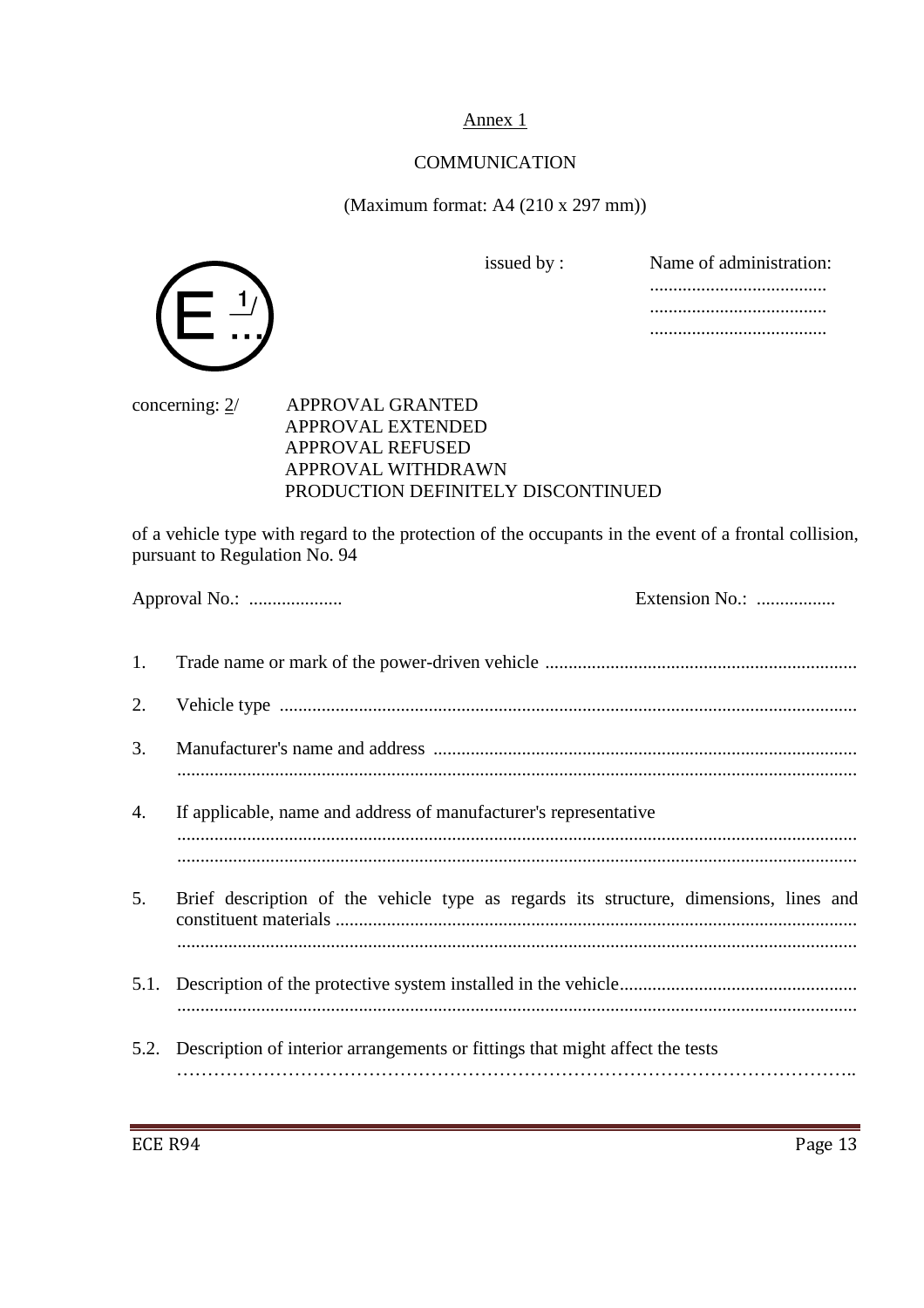Annex 1

## **COMMUNICATION**

(Maximum format: A4 (210 x 297 mm))

 $\mathbf 1$ 

issued by : Name of administration: ...................................... ...................................... ......................................

### concerning: 2/ APPROVAL GRANTED APPROVAL EXTENDED APPROVAL REFUSED APPROVAL WITHDRAWN PRODUCTION DEFINITELY DISCONTINUED

of a vehicle type with regard to the protection of the occupants in the event of a frontal collision, pursuant to Regulation No. 94

|      |                                                                                       | Extension No.: |
|------|---------------------------------------------------------------------------------------|----------------|
| 1.   |                                                                                       |                |
| 2.   |                                                                                       |                |
| 3.   |                                                                                       |                |
| 4.   | If applicable, name and address of manufacturer's representative                      |                |
| 5.   | Brief description of the vehicle type as regards its structure, dimensions, lines and |                |
| 5.1. |                                                                                       |                |
|      | 5.2. Description of interior arrangements or fittings that might affect the tests     |                |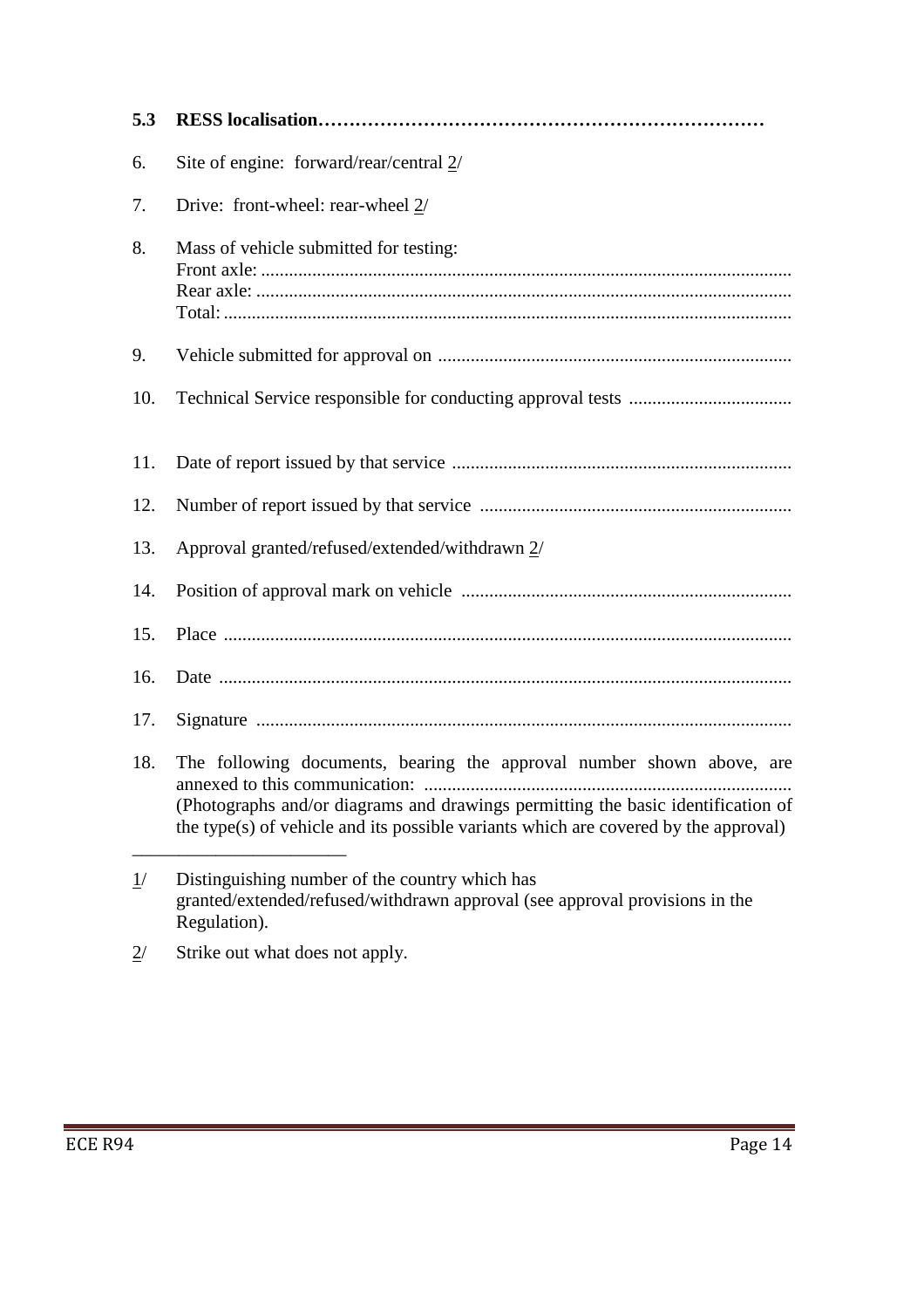| 5.3 |                                                                                                                                                                                                                                                  |
|-----|--------------------------------------------------------------------------------------------------------------------------------------------------------------------------------------------------------------------------------------------------|
| 6.  | Site of engine: forward/rear/central $2/$                                                                                                                                                                                                        |
| 7.  | Drive: front-wheel: rear-wheel 2/                                                                                                                                                                                                                |
| 8.  | Mass of vehicle submitted for testing:                                                                                                                                                                                                           |
| 9.  |                                                                                                                                                                                                                                                  |
| 10. |                                                                                                                                                                                                                                                  |
| 11. |                                                                                                                                                                                                                                                  |
| 12. |                                                                                                                                                                                                                                                  |
| 13. | Approval granted/refused/extended/withdrawn 2/                                                                                                                                                                                                   |
| 14. |                                                                                                                                                                                                                                                  |
| 15. |                                                                                                                                                                                                                                                  |
| 16. |                                                                                                                                                                                                                                                  |
| 17. |                                                                                                                                                                                                                                                  |
| 18. | The following documents, bearing the approval number shown above, are<br>(Photographs and/or diagrams and drawings permitting the basic identification of<br>the type(s) of vehicle and its possible variants which are covered by the approval) |
| 1/  | Distinguishing number of the country which has<br>granted/extended/refused/withdrawn approval (see approval provisions in the                                                                                                                    |

 $2^{\prime}$  Strike out what does not apply.

granted/extended/refused/withdrawn approval (see approval provisions in the grande Core.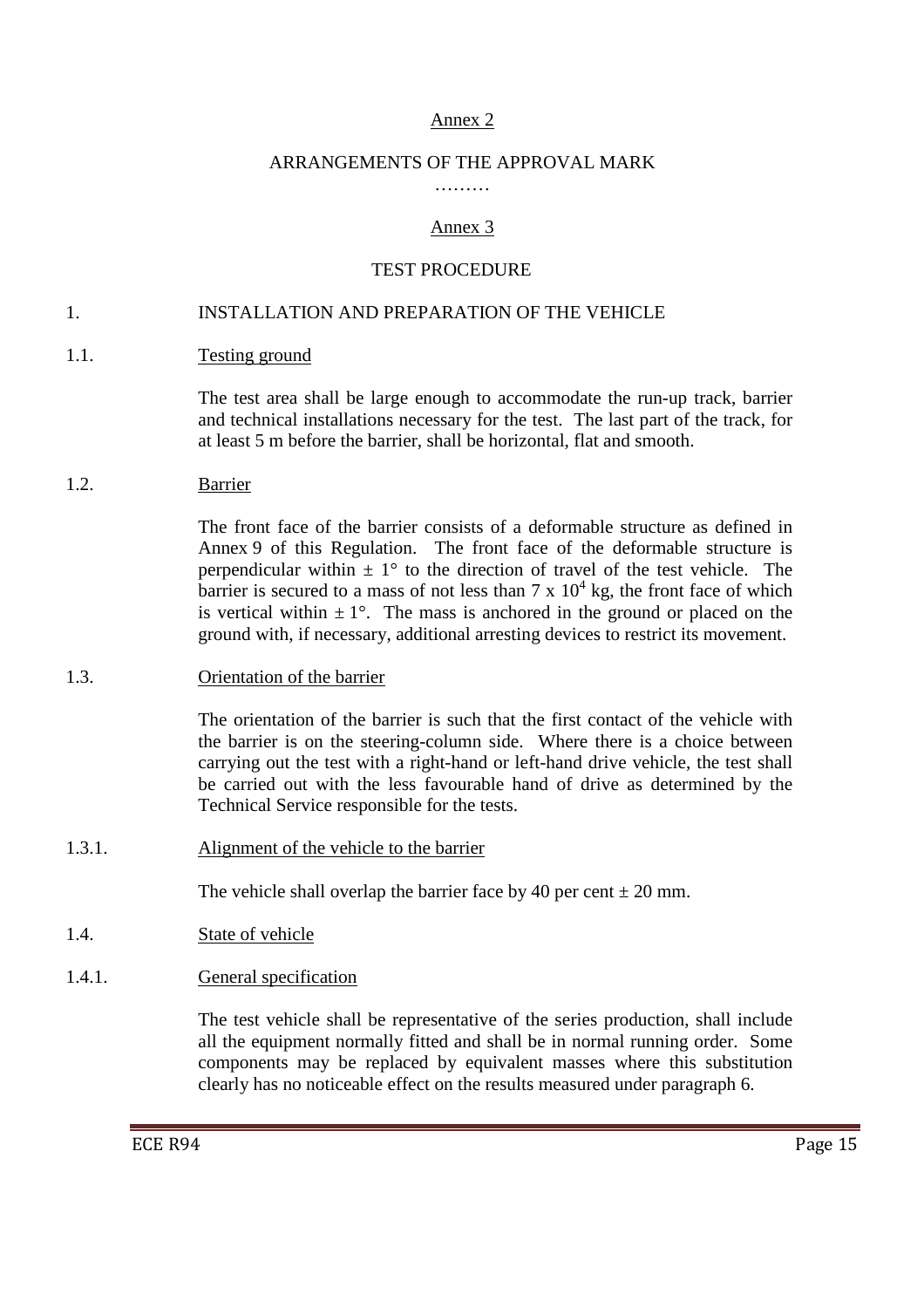## Annex 2

#### ARRANGEMENTS OF THE APPROVAL MARK

# Annex 3

## TEST PROCEDURE

#### 1. INSTALLATION AND PREPARATION OF THE VEHICLE

1.1. Testing ground

 The test area shall be large enough to accommodate the run-up track, barrier and technical installations necessary for the test. The last part of the track, for at least 5 m before the barrier, shall be horizontal, flat and smooth.

1.2. Barrier

 The front face of the barrier consists of a deformable structure as defined in Annex 9 of this Regulation. The front face of the deformable structure is perpendicular within  $\pm 1^{\circ}$  to the direction of travel of the test vehicle. The barrier is secured to a mass of not less than  $7 \times 10^4$  kg, the front face of which is vertical within  $\pm 1^{\circ}$ . The mass is anchored in the ground or placed on the ground with, if necessary, additional arresting devices to restrict its movement.

1.3. Orientation of the barrier

 The orientation of the barrier is such that the first contact of the vehicle with the barrier is on the steering-column side. Where there is a choice between carrying out the test with a right-hand or left-hand drive vehicle, the test shall be carried out with the less favourable hand of drive as determined by the Technical Service responsible for the tests.

1.3.1. Alignment of the vehicle to the barrier

The vehicle shall overlap the barrier face by 40 per cent  $\pm$  20 mm.

- 1.4. State of vehicle
- 1.4.1. General specification

 The test vehicle shall be representative of the series production, shall include all the equipment normally fitted and shall be in normal running order. Some components may be replaced by equivalent masses where this substitution clearly has no noticeable effect on the results measured under paragraph 6.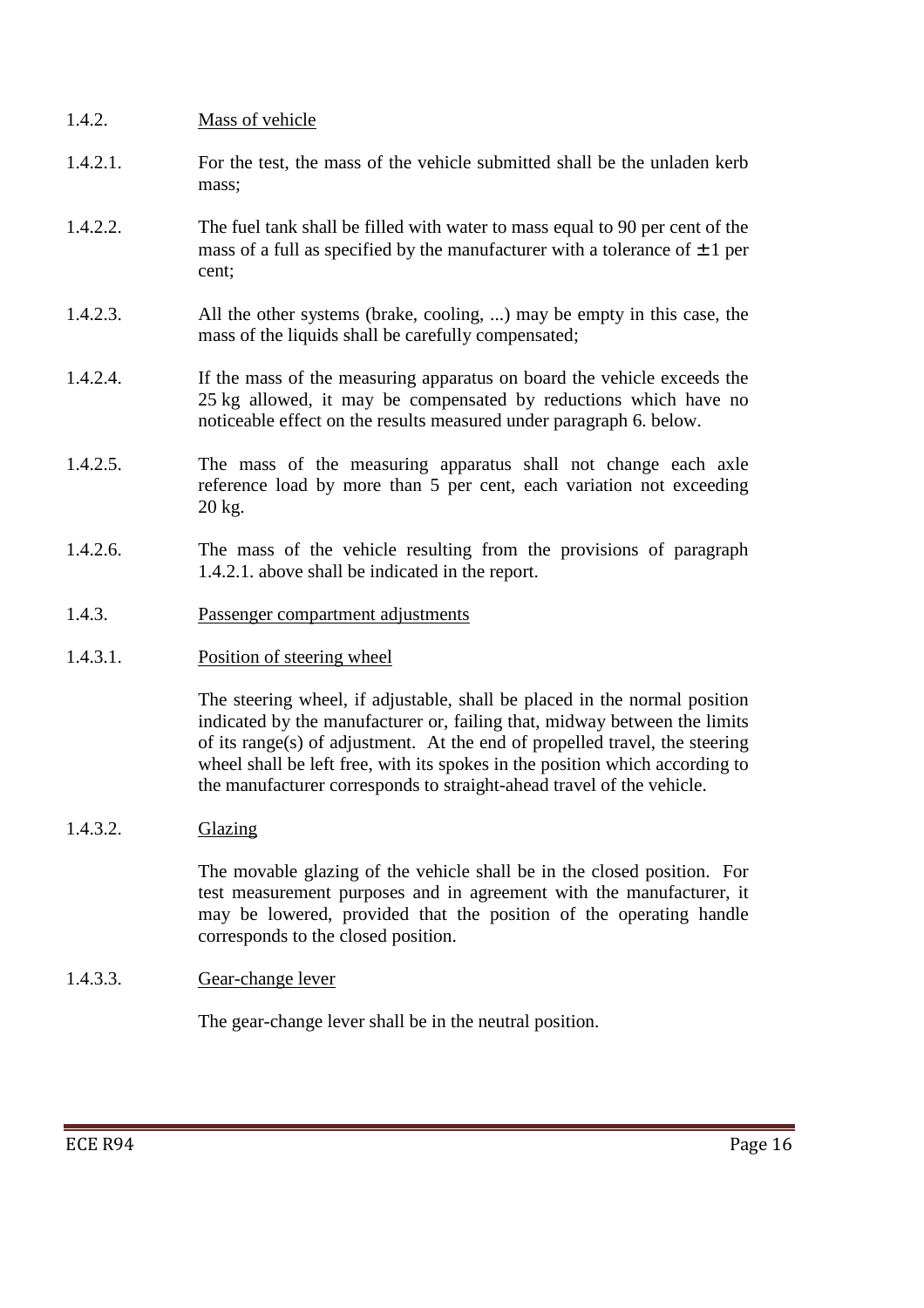- 1.4.2. Mass of vehicle 1.4.2.1. For the test, the mass of the vehicle submitted shall be the unladen kerb mass; 1.4.2.2. The fuel tank shall be filled with water to mass equal to 90 per cent of the mass of a full as specified by the manufacturer with a tolerance of  $\pm 1$  per cent; 1.4.2.3. All the other systems (brake, cooling, ...) may be empty in this case, the mass of the liquids shall be carefully compensated; 1.4.2.4. If the mass of the measuring apparatus on board the vehicle exceeds the 25 kg allowed, it may be compensated by reductions which have no noticeable effect on the results measured under paragraph 6. below. 1.4.2.5. The mass of the measuring apparatus shall not change each axle reference load by more than 5 per cent, each variation not exceeding 20 kg. 1.4.2.6. The mass of the vehicle resulting from the provisions of paragraph 1.4.2.1. above shall be indicated in the report.
- 1.4.3. Passenger compartment adjustments
- 1.4.3.1. Position of steering wheel

 The steering wheel, if adjustable, shall be placed in the normal position indicated by the manufacturer or, failing that, midway between the limits of its range(s) of adjustment. At the end of propelled travel, the steering wheel shall be left free, with its spokes in the position which according to the manufacturer corresponds to straight-ahead travel of the vehicle.

1.4.3.2. Glazing

 The movable glazing of the vehicle shall be in the closed position. For test measurement purposes and in agreement with the manufacturer, it may be lowered, provided that the position of the operating handle corresponds to the closed position.

1.4.3.3. Gear-change lever

The gear-change lever shall be in the neutral position.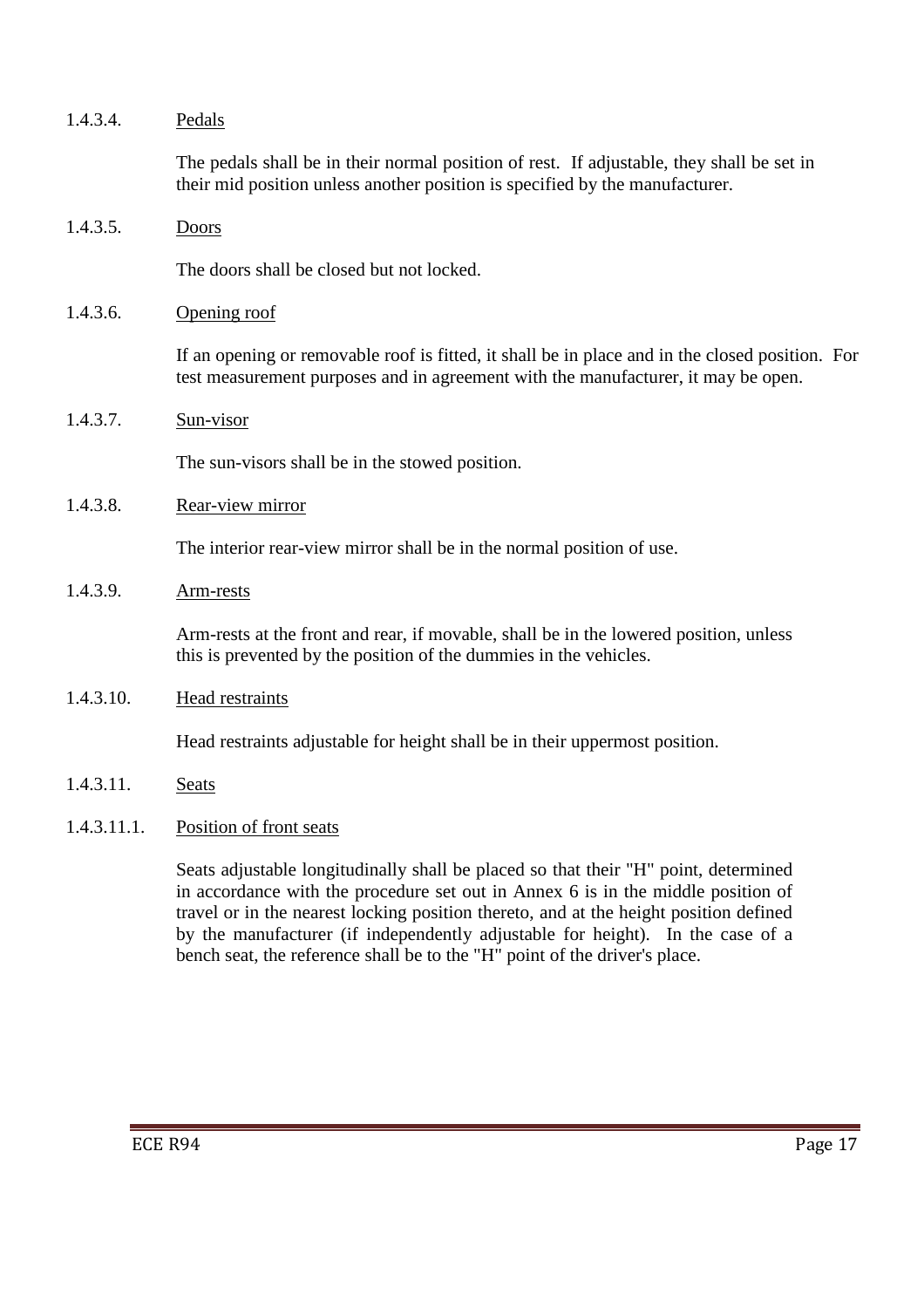| 1.4.3.4.    | Pedals                                                                                                                                                                                                                                                                                                                                             |
|-------------|----------------------------------------------------------------------------------------------------------------------------------------------------------------------------------------------------------------------------------------------------------------------------------------------------------------------------------------------------|
|             | The pedals shall be in their normal position of rest. If adjustable, they shall be set in<br>their mid position unless another position is specified by the manufacturer.                                                                                                                                                                          |
| 1.4.3.5.    | Doors                                                                                                                                                                                                                                                                                                                                              |
|             | The doors shall be closed but not locked.                                                                                                                                                                                                                                                                                                          |
| 1.4.3.6.    | Opening roof                                                                                                                                                                                                                                                                                                                                       |
|             | If an opening or removable roof is fitted, it shall be in place and in the closed position. For<br>test measurement purposes and in agreement with the manufacturer, it may be open.                                                                                                                                                               |
| 1.4.3.7.    | Sun-visor                                                                                                                                                                                                                                                                                                                                          |
|             | The sun-visors shall be in the stowed position.                                                                                                                                                                                                                                                                                                    |
| 1.4.3.8.    | Rear-view mirror                                                                                                                                                                                                                                                                                                                                   |
|             | The interior rear-view mirror shall be in the normal position of use.                                                                                                                                                                                                                                                                              |
| 1.4.3.9.    | Arm-rests                                                                                                                                                                                                                                                                                                                                          |
|             | Arm-rests at the front and rear, if movable, shall be in the lowered position, unless<br>this is prevented by the position of the dummies in the vehicles.                                                                                                                                                                                         |
| 1.4.3.10.   | <b>Head restraints</b>                                                                                                                                                                                                                                                                                                                             |
|             | Head restraints adjustable for height shall be in their uppermost position.                                                                                                                                                                                                                                                                        |
| 1.4.3.11.   | <b>Seats</b>                                                                                                                                                                                                                                                                                                                                       |
| 1.4.3.11.1. | Position of front seats                                                                                                                                                                                                                                                                                                                            |
|             | Seats adjustable longitudinally shall be placed so that their "H" point, determined<br>in accordance with the procedure set out in Annex 6 is in the middle position of<br>travel or in the nearest locking position thereto, and at the height position defined<br>by the manufacturer (if independently adjustable for height). In the case of a |

bench seat, the reference shall be to the "H" point of the driver's place.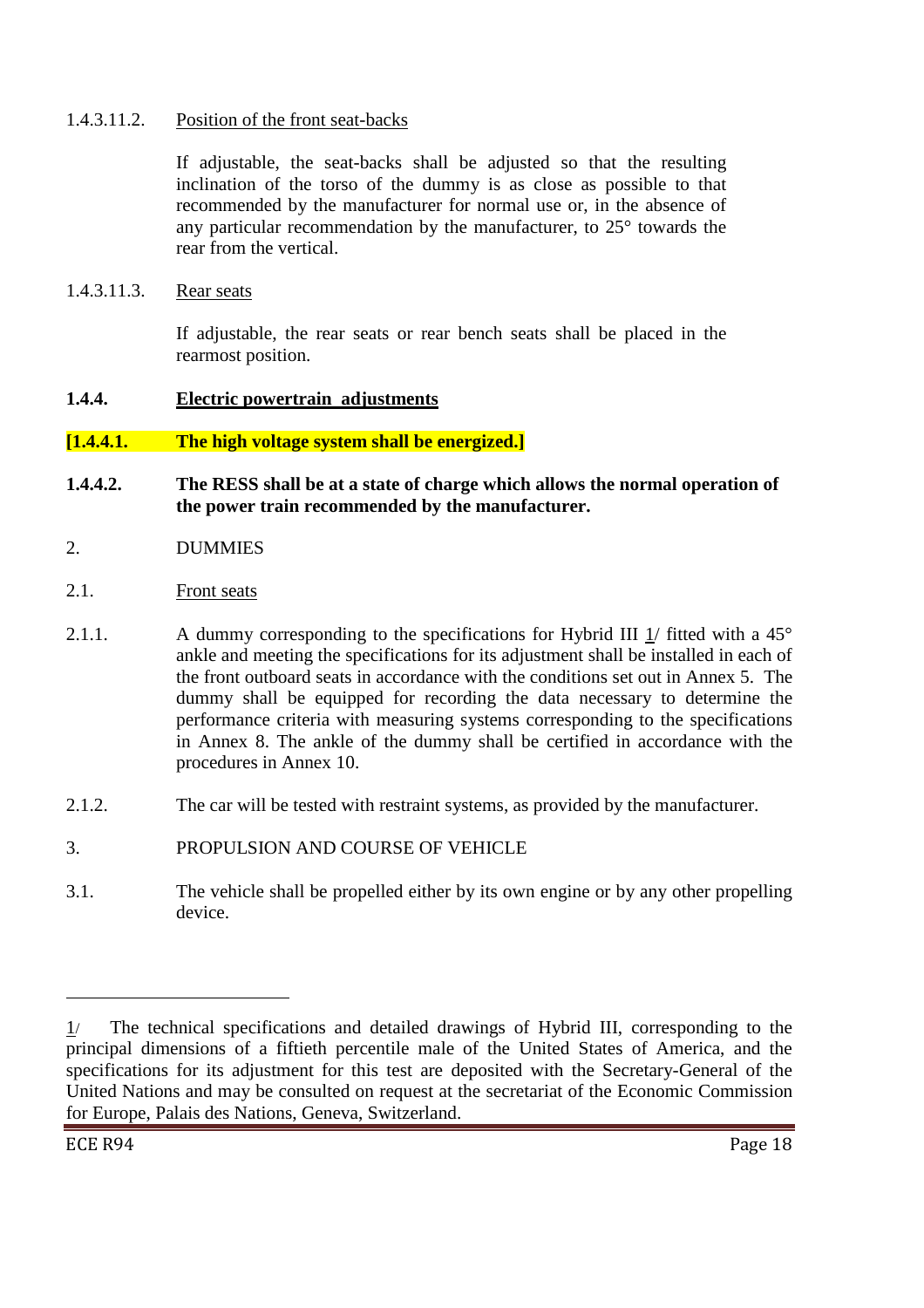### 1.4.3.11.2. Position of the front seat-backs

If adjustable, the seat-backs shall be adjusted so that the resulting inclination of the torso of the dummy is as close as possible to that recommended by the manufacturer for normal use or, in the absence of any particular recommendation by the manufacturer, to 25° towards the rear from the vertical.

1.4.3.11.3. Rear seats

If adjustable, the rear seats or rear bench seats shall be placed in the rearmost position.

# **1.4.4. Electric powertrain adjustments**

# **[1.4.4.1. The high voltage system shall be energized.]**

- **1.4.4.2. The RESS shall be at a state of charge which allows the normal operation of the power train recommended by the manufacturer.**
- 2. DUMMIES
- 2.1. Front seats
- 2.1.1. A dummy corresponding to the specifications for Hybrid III 1/ fitted with a 45° ankle and meeting the specifications for its adjustment shall be installed in each of the front outboard seats in accordance with the conditions set out in Annex 5. The dummy shall be equipped for recording the data necessary to determine the performance criteria with measuring systems corresponding to the specifications in Annex 8. The ankle of the dummy shall be certified in accordance with the procedures in Annex 10.
- 2.1.2. The car will be tested with restraint systems, as provided by the manufacturer.
- 3. PROPULSION AND COURSE OF VEHICLE
- 3.1. The vehicle shall be propelled either by its own engine or by any other propelling device.

 $\overline{a}$ 

<sup>1</sup>/ The technical specifications and detailed drawings of Hybrid III, corresponding to the principal dimensions of a fiftieth percentile male of the United States of America, and the specifications for its adjustment for this test are deposited with the Secretary-General of the United Nations and may be consulted on request at the secretariat of the Economic Commission for Europe, Palais des Nations, Geneva, Switzerland.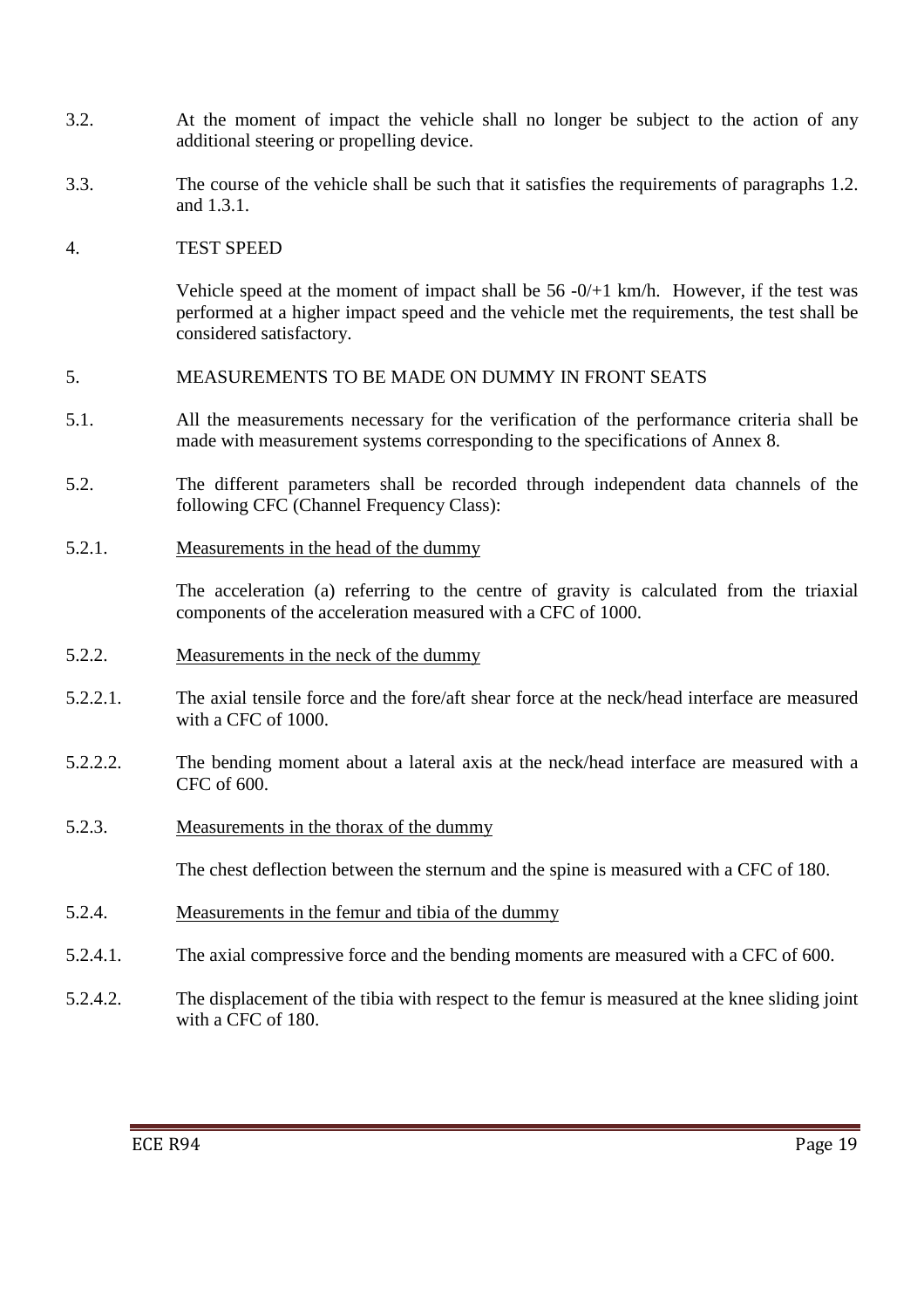- 3.2. At the moment of impact the vehicle shall no longer be subject to the action of any additional steering or propelling device.
- 3.3. The course of the vehicle shall be such that it satisfies the requirements of paragraphs 1.2. and 1.3.1.

### 4. TEST SPEED

Vehicle speed at the moment of impact shall be  $56 - 0/11$  km/h. However, if the test was performed at a higher impact speed and the vehicle met the requirements, the test shall be considered satisfactory.

#### 5. MEASUREMENTS TO BE MADE ON DUMMY IN FRONT SEATS

- 5.1. All the measurements necessary for the verification of the performance criteria shall be made with measurement systems corresponding to the specifications of Annex 8.
- 5.2. The different parameters shall be recorded through independent data channels of the following CFC (Channel Frequency Class):
- 5.2.1. Measurements in the head of the dummy

The acceleration (a) referring to the centre of gravity is calculated from the triaxial components of the acceleration measured with a CFC of 1000.

- 5.2.2. Measurements in the neck of the dummy
- 5.2.2.1. The axial tensile force and the fore/aft shear force at the neck/head interface are measured with a CFC of 1000.
- 5.2.2.2. The bending moment about a lateral axis at the neck/head interface are measured with a CFC of 600.
- 5.2.3. Measurements in the thorax of the dummy

The chest deflection between the sternum and the spine is measured with a CFC of 180.

- 5.2.4. Measurements in the femur and tibia of the dummy
- 5.2.4.1. The axial compressive force and the bending moments are measured with a CFC of 600.
- 5.2.4.2. The displacement of the tibia with respect to the femur is measured at the knee sliding joint with a CFC of 180.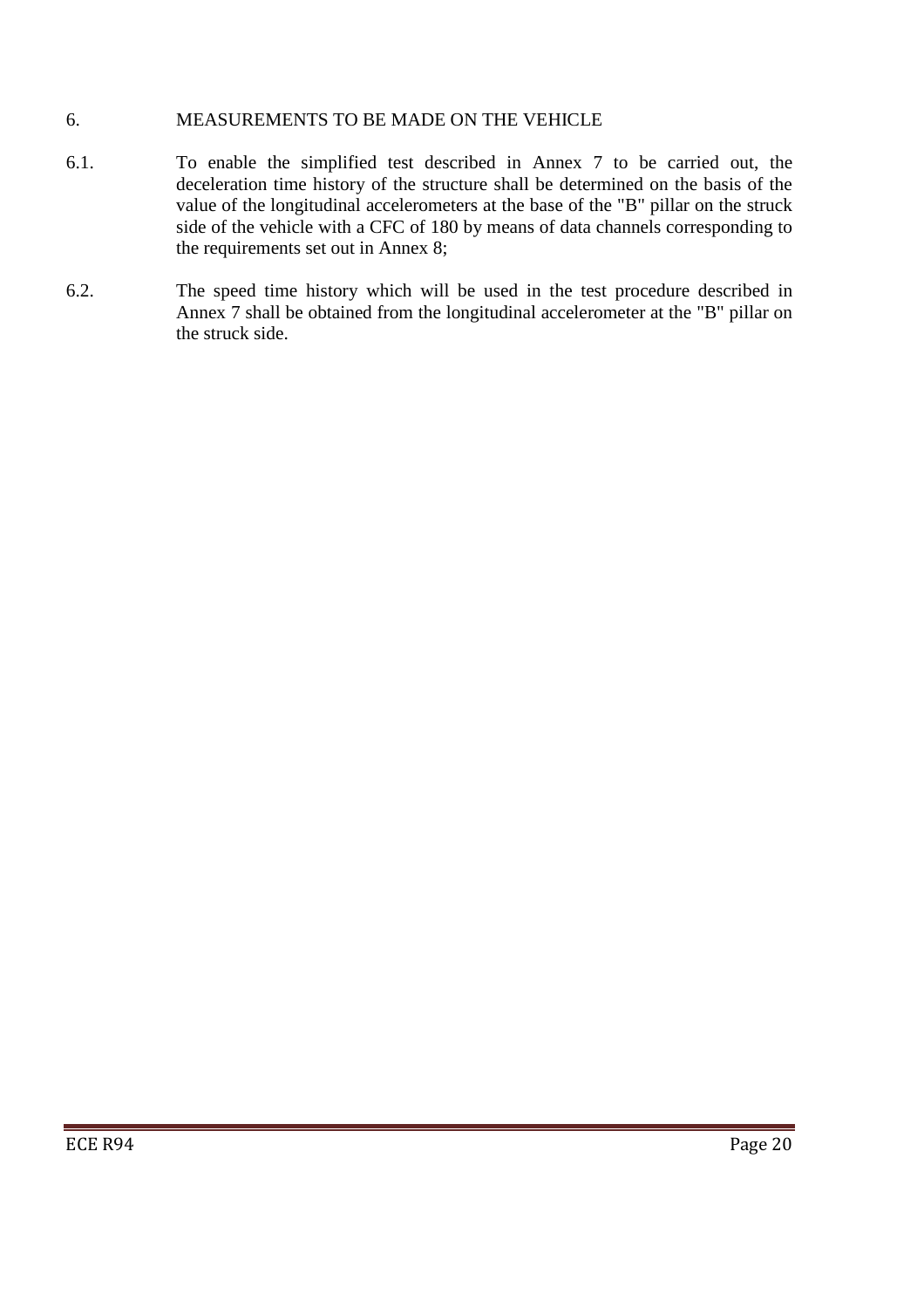## 6. MEASUREMENTS TO BE MADE ON THE VEHICLE

- 6.1. To enable the simplified test described in Annex 7 to be carried out, the deceleration time history of the structure shall be determined on the basis of the value of the longitudinal accelerometers at the base of the "B" pillar on the struck side of the vehicle with a CFC of 180 by means of data channels corresponding to the requirements set out in Annex 8;
- 6.2. The speed time history which will be used in the test procedure described in Annex 7 shall be obtained from the longitudinal accelerometer at the "B" pillar on the struck side.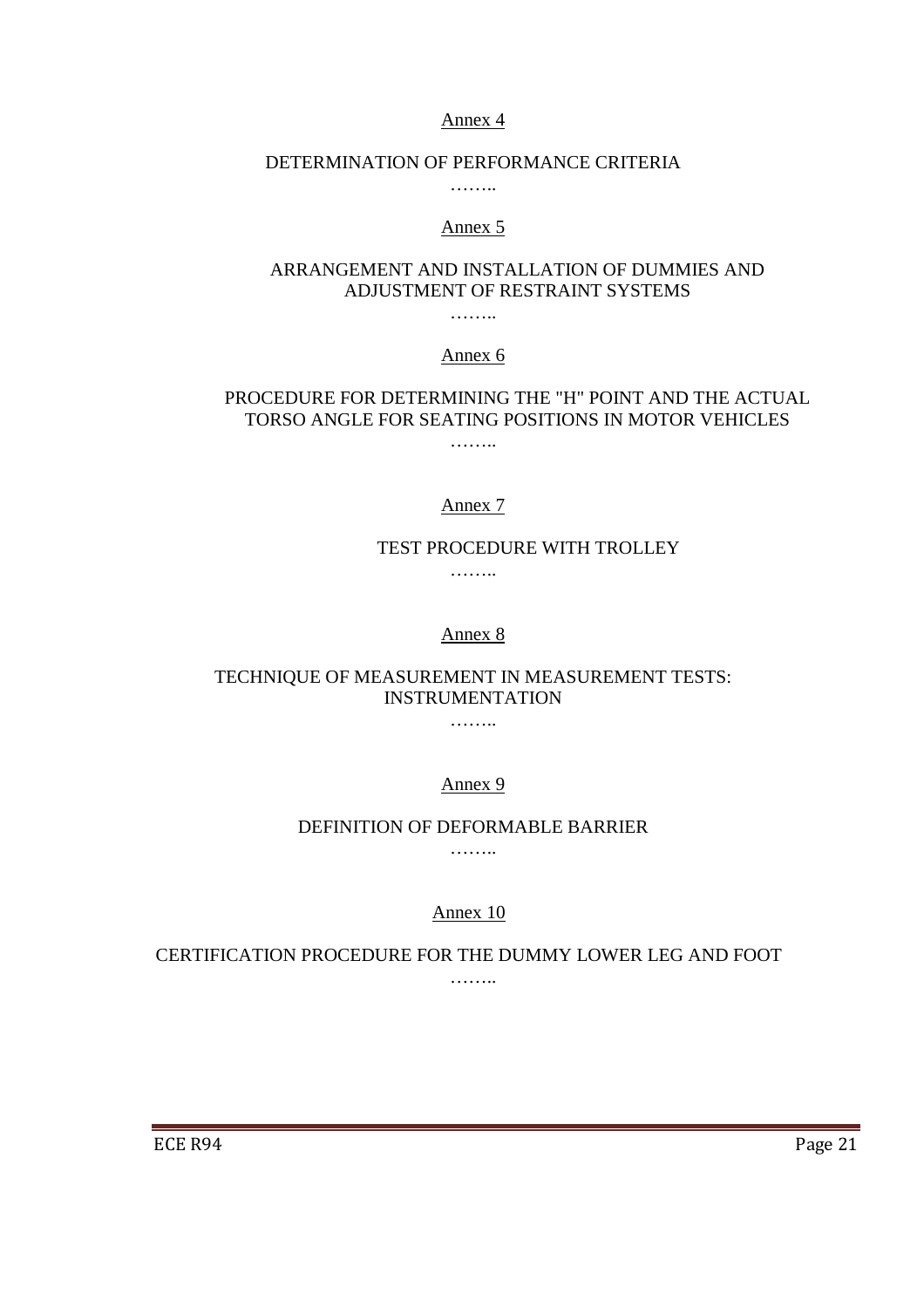#### Annex 4

#### DETERMINATION OF PERFORMANCE CRITERIA

………

#### Annex 5

### ARRANGEMENT AND INSTALLATION OF DUMMIES AND ADJUSTMENT OF RESTRAINT SYSTEMS

………

Annex 6

## PROCEDURE FOR DETERMINING THE "H" POINT AND THE ACTUAL TORSO ANGLE FOR SEATING POSITIONS IN MOTOR VEHICLES

Annex 7

……

#### TEST PROCEDURE WITH TROLLEY

……

#### Annex 8

TECHNIQUE OF MEASUREMENT IN MEASUREMENT TESTS: INSTRUMENTATION

……

Annex 9

#### DEFINITION OF DEFORMABLE BARRIER

……

Annex 10

CERTIFICATION PROCEDURE FOR THE DUMMY LOWER LEG AND FOOT ………

a shekarar 1988 a shekarar 1989 a shekarar 1989 a shekarar 1989 a shekarar 1989 a shekarar 1989 a shekarar 19

ECE R94 Page 21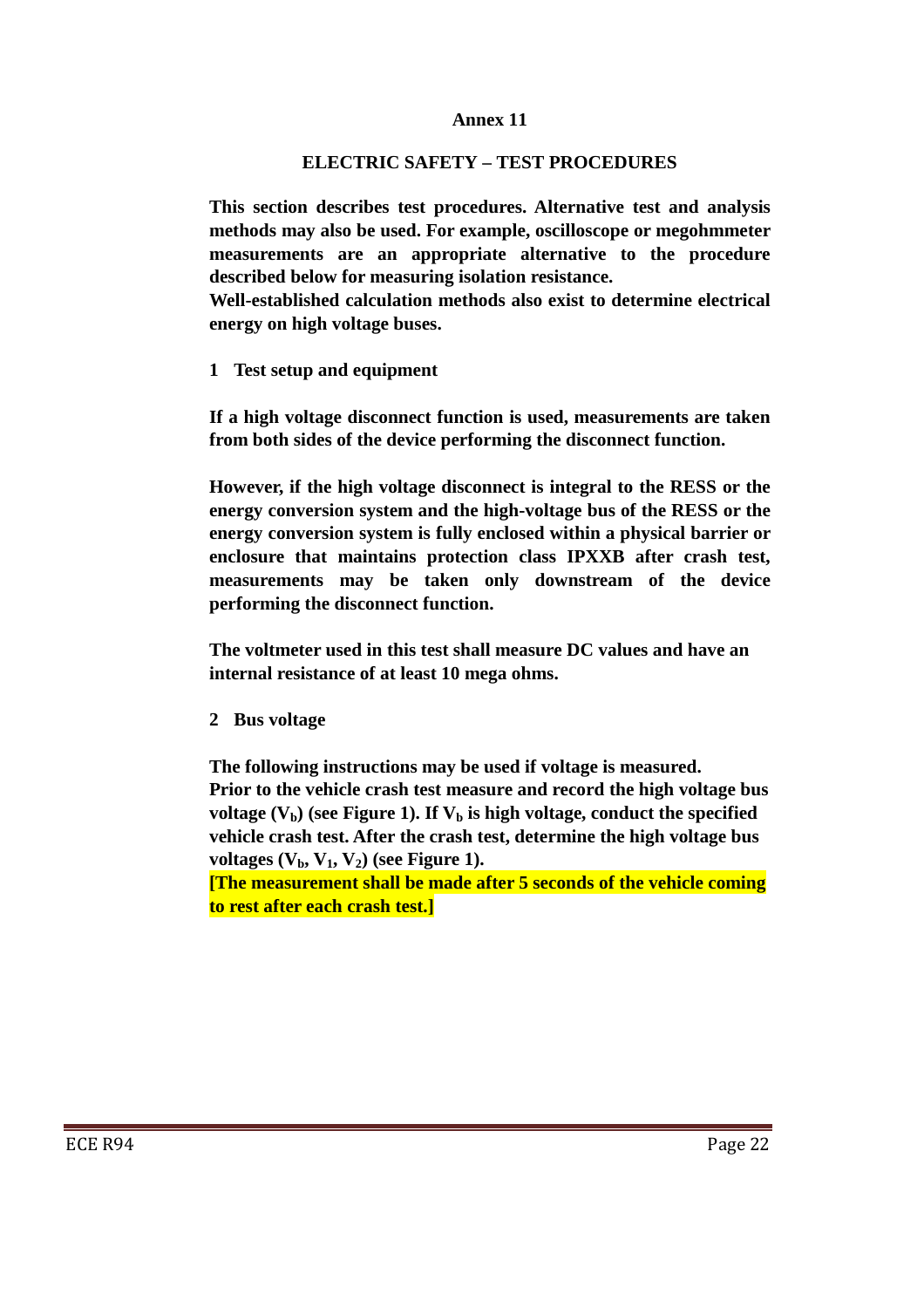#### **Annex 11**

### **ELECTRIC SAFETY – TEST PROCEDURES**

**This section describes test procedures. Alternative test and analysis methods may also be used. For example, oscilloscope or megohmmeter measurements are an appropriate alternative to the procedure described below for measuring isolation resistance.** 

**Well-established calculation methods also exist to determine electrical energy on high voltage buses.** 

**1 Test setup and equipment** 

**If a high voltage disconnect function is used, measurements are taken from both sides of the device performing the disconnect function.** 

**However, if the high voltage disconnect is integral to the RESS or the energy conversion system and the high-voltage bus of the RESS or the energy conversion system is fully enclosed within a physical barrier or enclosure that maintains protection class IPXXB after crash test, measurements may be taken only downstream of the device performing the disconnect function.** 

**The voltmeter used in this test shall measure DC values and have an internal resistance of at least 10 mega ohms.** 

**2 Bus voltage** 

**The following instructions may be used if voltage is measured. Prior to the vehicle crash test measure and record the high voltage bus**  voltage  $(V_b)$  (see Figure 1). If  $V_b$  is high voltage, conduct the specified **vehicle crash test. After the crash test, determine the high voltage bus**  voltages  $(V_h, V_1, V_2)$  (see Figure 1).

**[The measurement shall be made after 5 seconds of the vehicle coming to rest after each crash test.]**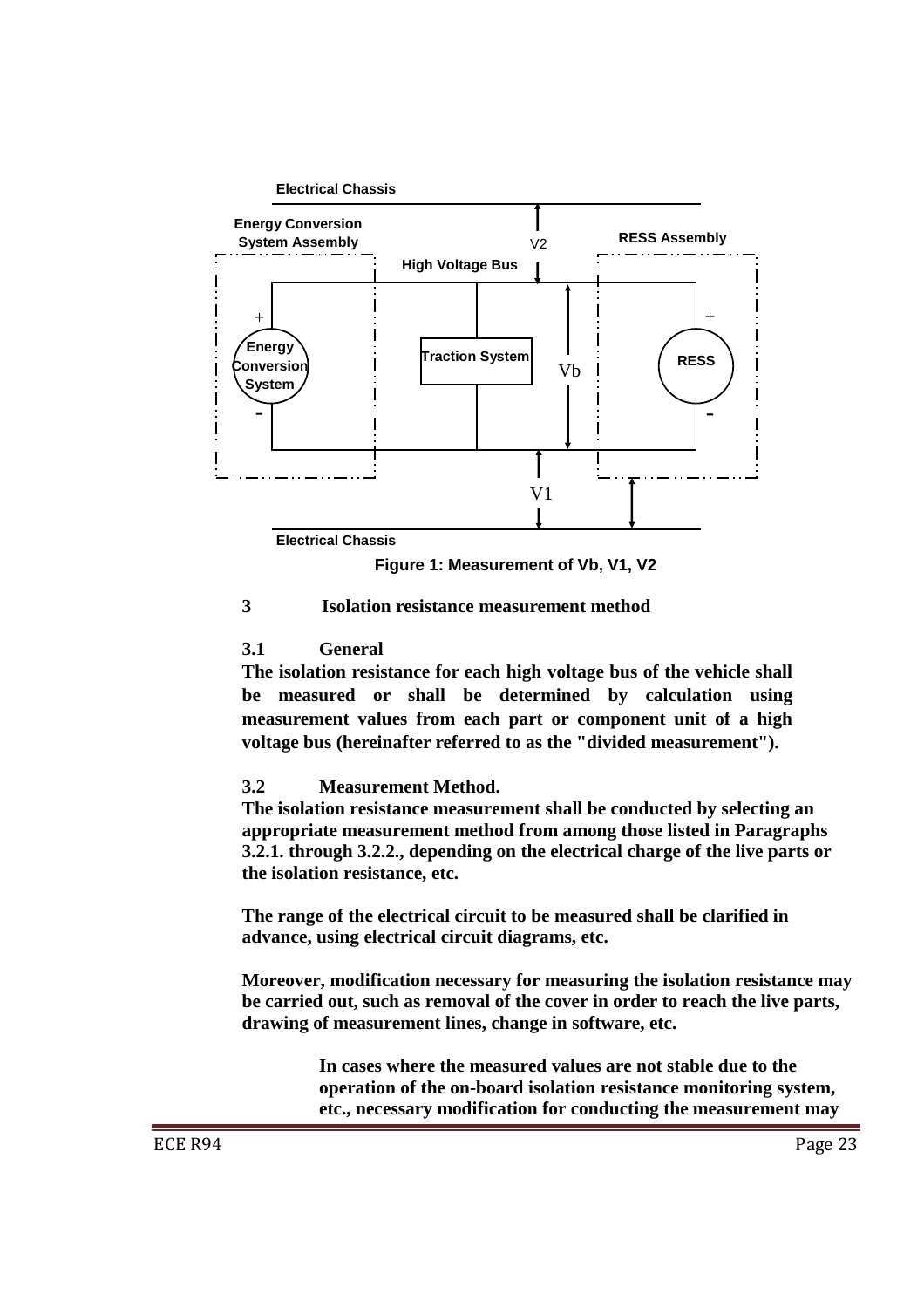

**Figure 1: Measurement of Vb, V1, V2**

# **3 Isolation resistance measurement method**

## **3.1 General**

**The isolation resistance for each high voltage bus of the vehicle shall be measured or shall be determined by calculation using measurement values from each part or component unit of a high voltage bus (hereinafter referred to as the "divided measurement").** 

# **3.2 Measurement Method.**

**The isolation resistance measurement shall be conducted by selecting an appropriate measurement method from among those listed in Paragraphs 3.2.1. through 3.2.2., depending on the electrical charge of the live parts or the isolation resistance, etc.** 

**The range of the electrical circuit to be measured shall be clarified in advance, using electrical circuit diagrams, etc.** 

**Moreover, modification necessary for measuring the isolation resistance may be carried out, such as removal of the cover in order to reach the live parts, drawing of measurement lines, change in software, etc.** 

> **In cases where the measured values are not stable due to the operation of the on-board isolation resistance monitoring system, etc., necessary modification for conducting the measurement may**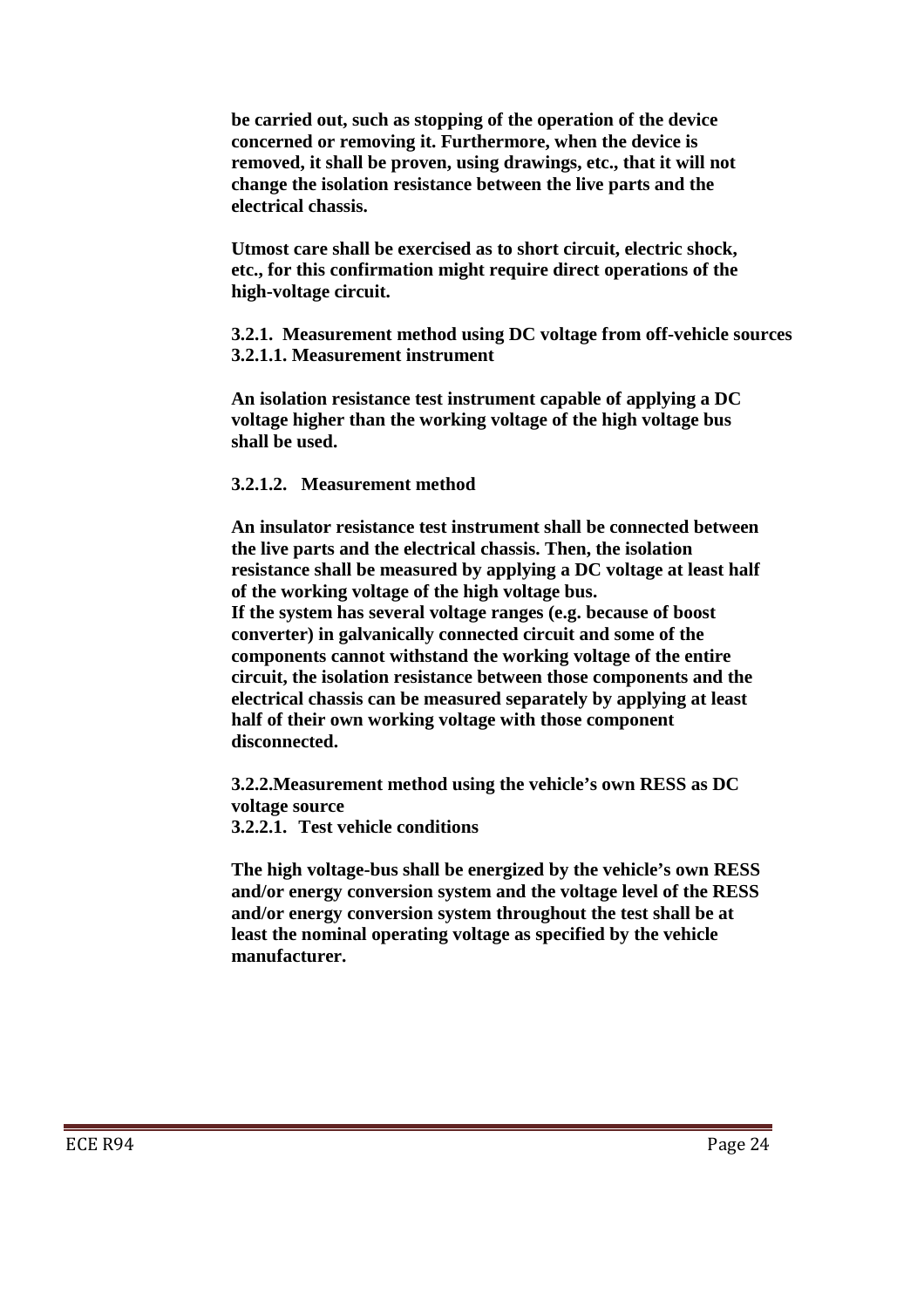**be carried out, such as stopping of the operation of the device concerned or removing it. Furthermore, when the device is removed, it shall be proven, using drawings, etc., that it will not change the isolation resistance between the live parts and the electrical chassis.** 

**Utmost care shall be exercised as to short circuit, electric shock, etc., for this confirmation might require direct operations of the high-voltage circuit.** 

**3.2.1. Measurement method using DC voltage from off-vehicle sources 3.2.1.1. Measurement instrument** 

**An isolation resistance test instrument capable of applying a DC voltage higher than the working voltage of the high voltage bus shall be used.** 

#### **3.2.1.2. Measurement method**

**An insulator resistance test instrument shall be connected between the live parts and the electrical chassis. Then, the isolation resistance shall be measured by applying a DC voltage at least half of the working voltage of the high voltage bus.** 

**If the system has several voltage ranges (e.g. because of boost converter) in galvanically connected circuit and some of the components cannot withstand the working voltage of the entire circuit, the isolation resistance between those components and the electrical chassis can be measured separately by applying at least half of their own working voltage with those component disconnected.** 

**3.2.2.Measurement method using the vehicle's own RESS as DC voltage source** 

**3.2.2.1. Test vehicle conditions** 

**The high voltage-bus shall be energized by the vehicle's own RESS and/or energy conversion system and the voltage level of the RESS and/or energy conversion system throughout the test shall be at least the nominal operating voltage as specified by the vehicle manufacturer.**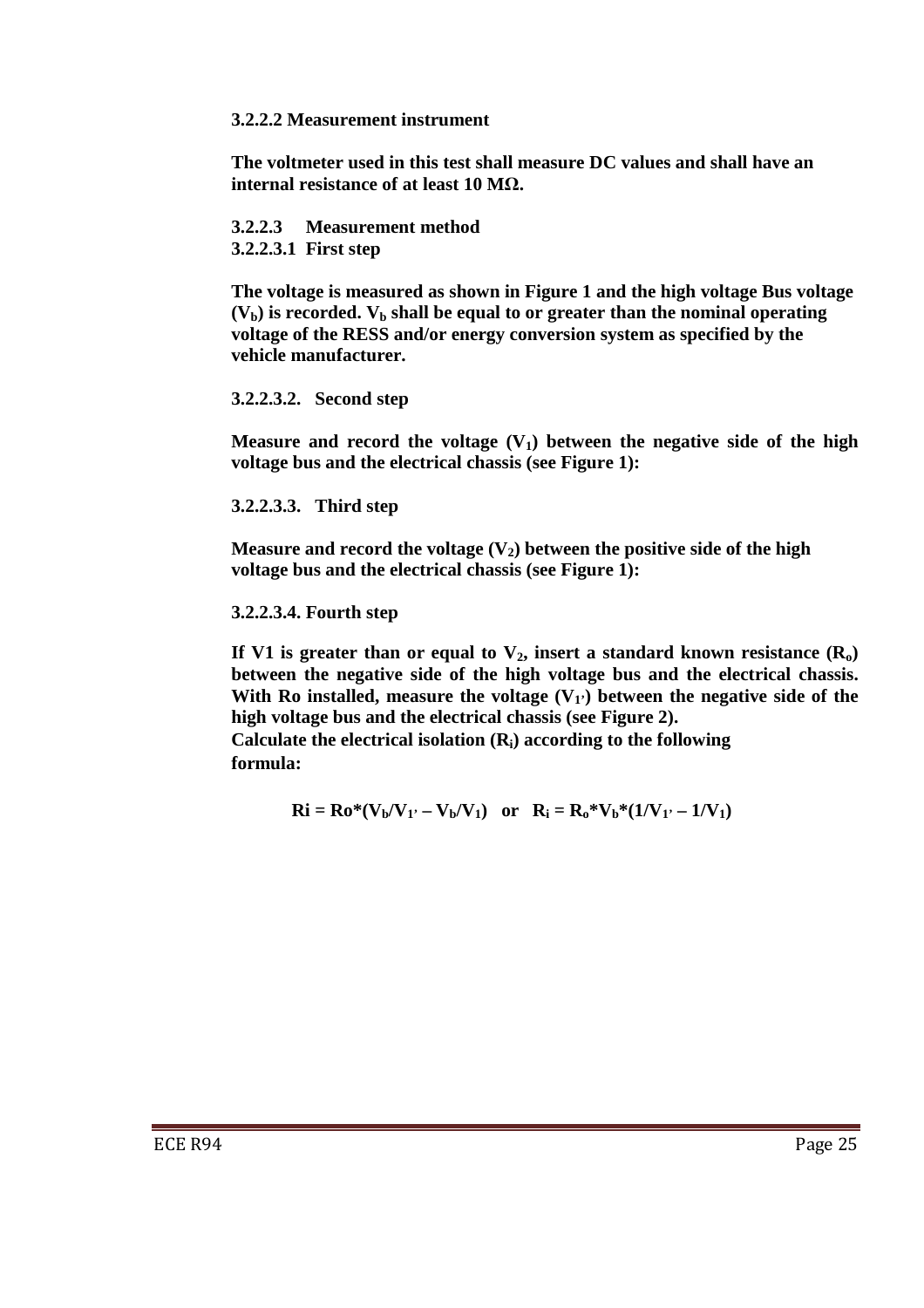### **3.2.2.2 Measurement instrument**

**The voltmeter used in this test shall measure DC values and shall have an internal resistance of at least 10 M**Ω**.** 

**3.2.2.3 Measurement method 3.2.2.3.1 First step** 

**The voltage is measured as shown in Figure 1 and the high voltage Bus voltage**   $(V<sub>b</sub>)$  is recorded.  $V<sub>b</sub>$  shall be equal to or greater than the nominal operating **voltage of the RESS and/or energy conversion system as specified by the vehicle manufacturer.** 

## **3.2.2.3.2. Second step**

**Measure and record the voltage**  $(V_1)$  **between the negative side of the high voltage bus and the electrical chassis (see Figure 1):** 

**3.2.2.3.3. Third step** 

**Measure and record the voltage**  $(V_2)$  **between the positive side of the high voltage bus and the electrical chassis (see Figure 1):** 

#### **3.2.2.3.4. Fourth step**

If V1 is greater than or equal to  $V_2$ , insert a standard known resistance  $(R_0)$ **between the negative side of the high voltage bus and the electrical chassis.**  With Ro installed, measure the voltage  $(V_1)$  between the negative side of the **high voltage bus and the electrical chassis (see Figure 2).** 

**Calculate the electrical isolation (Ri) according to the following formula:** 

$$
Ri = Ro^*(V_b/V_1' - V_b/V_1) \text{ or } R_i = R_0^*V_b^*(1/V_1' - 1/V_1)
$$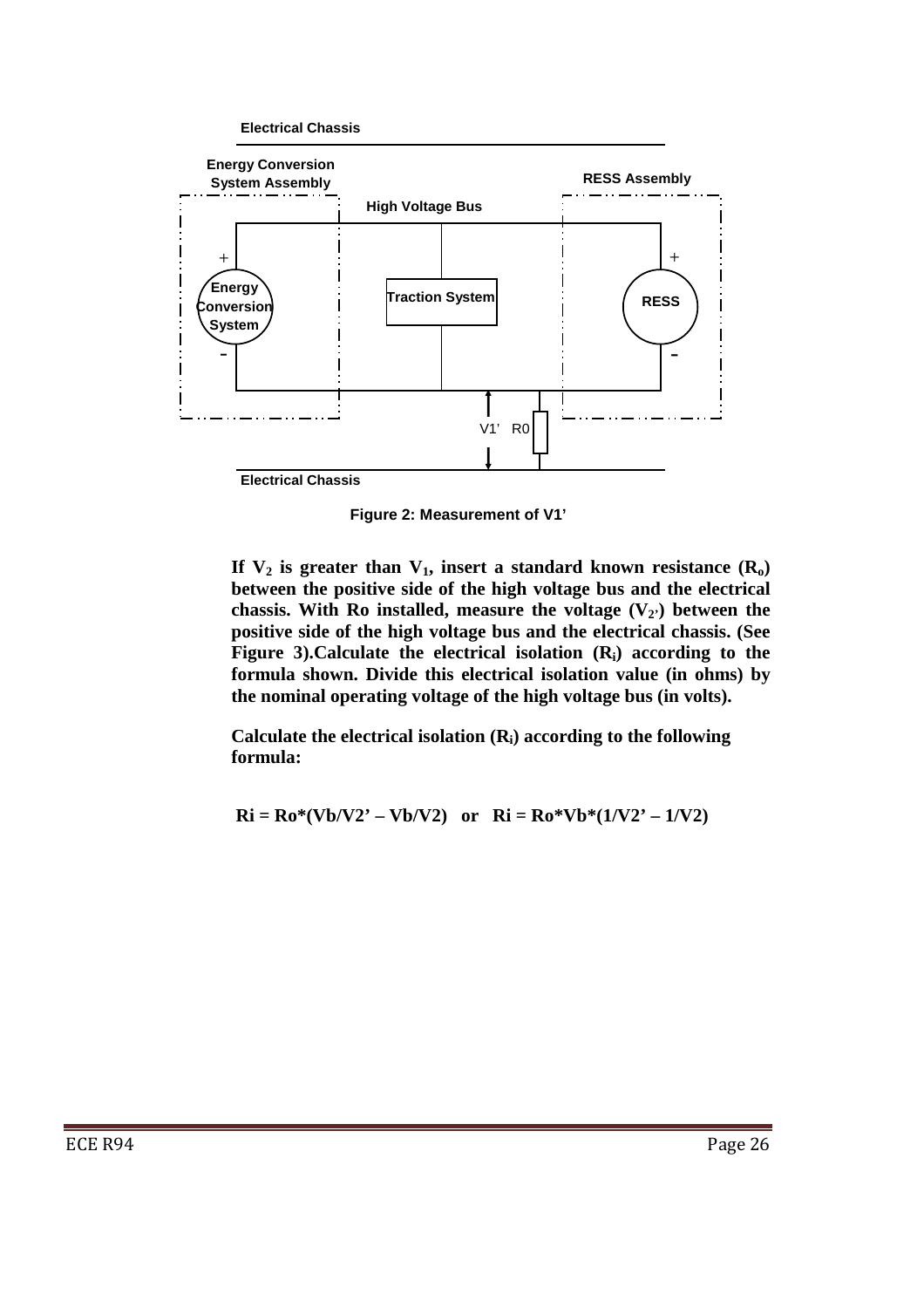

**Figure 2: Measurement of V1'**

If  $V_2$  is greater than  $V_1$ , insert a standard known resistance  $(R_0)$ **between the positive side of the high voltage bus and the electrical chassis. With Ro installed, measure the voltage (V2') between the positive side of the high voltage bus and the electrical chassis. (See Figure 3).Calculate the electrical isolation (Ri) according to the formula shown. Divide this electrical isolation value (in ohms) by the nominal operating voltage of the high voltage bus (in volts).** 

**Calculate the electrical isolation (Ri) according to the following formula:** 

 $\text{Ri} = \text{Ro}^*(\text{Vb}/\text{V2'} - \text{Vb}/\text{V2})$  or  $\text{Ri} = \text{Ro}^*\text{Vb}^*(1/\text{V2'} - 1/\text{V2})$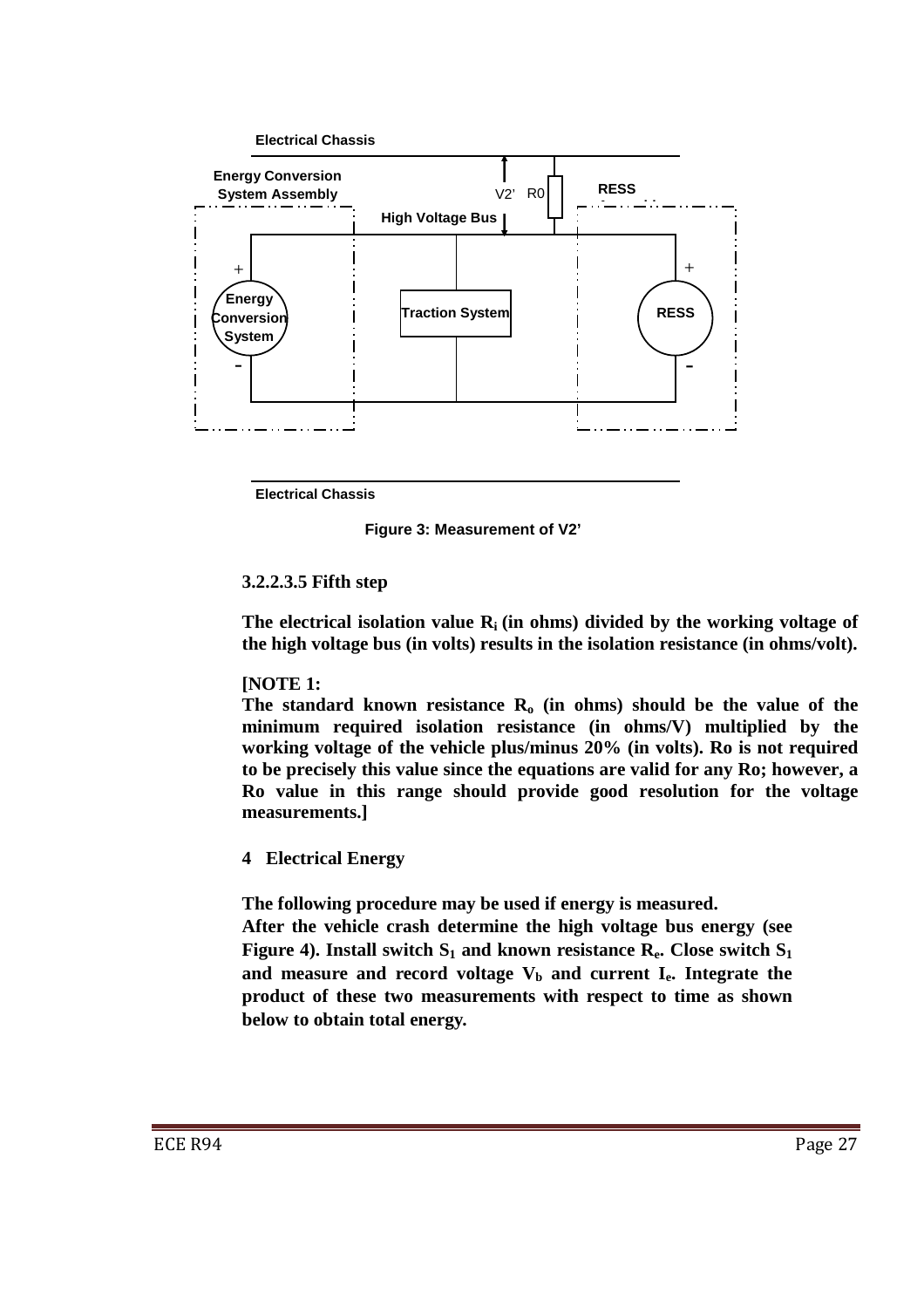

**Electrical Chassis** 

**Figure 3: Measurement of V2'**

## **3.2.2.3.5 Fifth step**

**The electrical isolation value Ri (in ohms) divided by the working voltage of the high voltage bus (in volts) results in the isolation resistance (in ohms/volt).** 

## **[NOTE 1:**

**The standard known resistance Ro (in ohms) should be the value of the minimum required isolation resistance (in ohms/V) multiplied by the working voltage of the vehicle plus/minus 20% (in volts). Ro is not required to be precisely this value since the equations are valid for any Ro; however, a Ro value in this range should provide good resolution for the voltage measurements.]** 

## **4 Electrical Energy**

**The following procedure may be used if energy is measured.** 

**After the vehicle crash determine the high voltage bus energy (see Figure 4).** Install switch  $S_1$  and known resistance  $R_e$ . Close switch  $S_1$ **and measure and record voltage Vb and current Ie. Integrate the product of these two measurements with respect to time as shown below to obtain total energy.**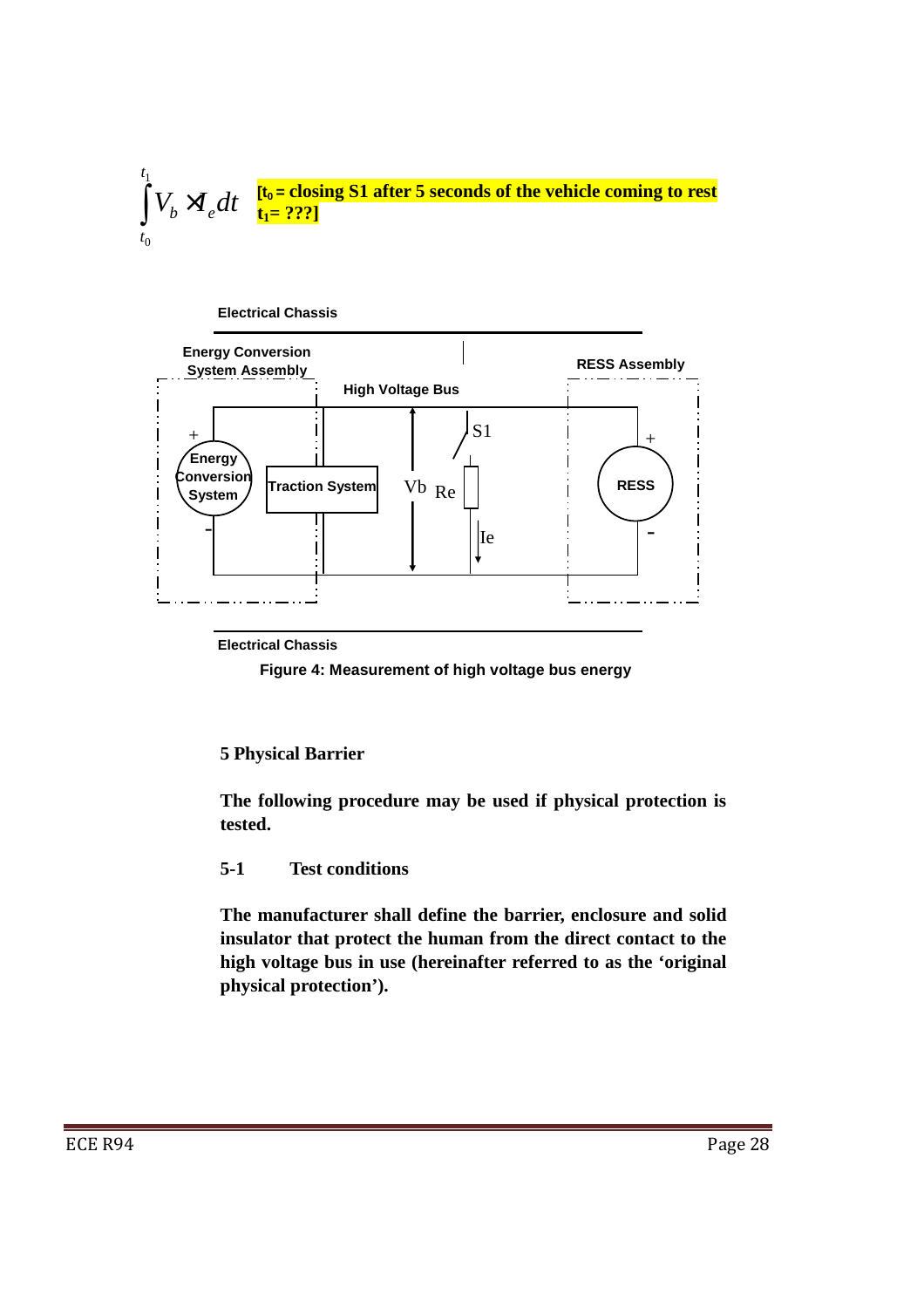



**Electrical Chassis** 

**Figure 4: Measurement of high voltage bus energy**

## **5 Physical Barrier**

**The following procedure may be used if physical protection is tested.** 

## **5-1 Test conditions**

**The manufacturer shall define the barrier, enclosure and solid insulator that protect the human from the direct contact to the high voltage bus in use (hereinafter referred to as the 'original physical protection').**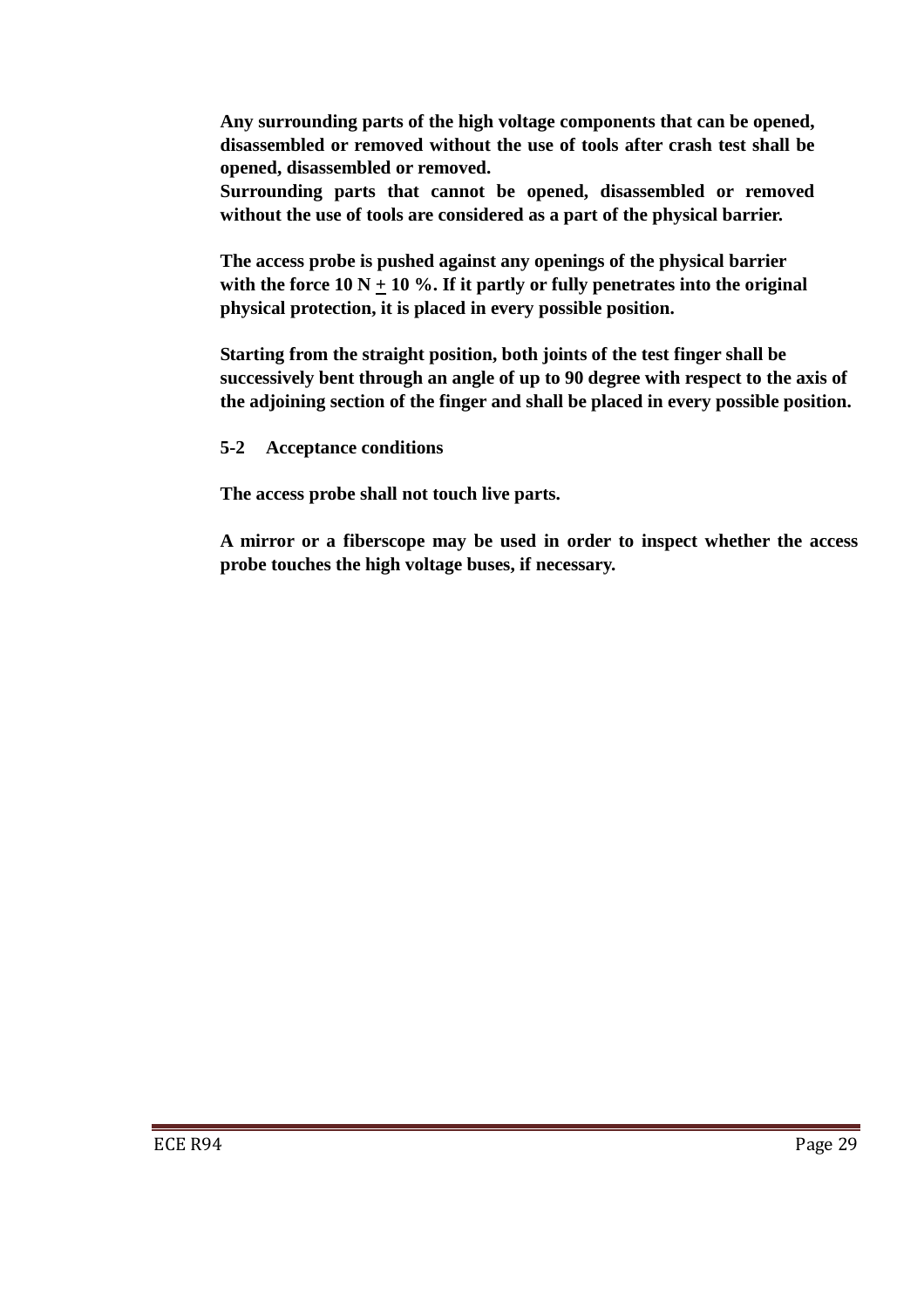**Any surrounding parts of the high voltage components that can be opened, disassembled or removed without the use of tools after crash test shall be opened, disassembled or removed.** 

**Surrounding parts that cannot be opened, disassembled or removed without the use of tools are considered as a part of the physical barrier.** 

**The access probe is pushed against any openings of the physical barrier**  with the force  $10 N + 10 %$ . If it partly or fully penetrates into the original **physical protection, it is placed in every possible position.** 

**Starting from the straight position, both joints of the test finger shall be successively bent through an angle of up to 90 degree with respect to the axis of the adjoining section of the finger and shall be placed in every possible position.** 

**5-2 Acceptance conditions** 

**The access probe shall not touch live parts.** 

**A mirror or a fiberscope may be used in order to inspect whether the access probe touches the high voltage buses, if necessary.**